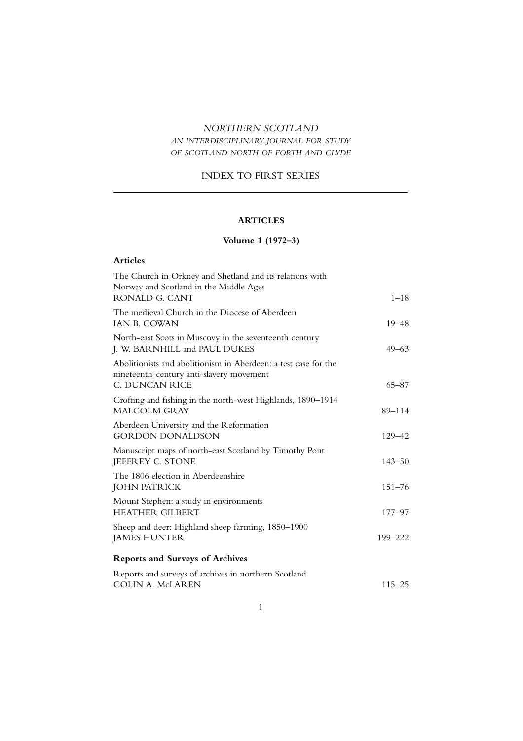### *NORTHERN SCOTLAND*

## *AN INTERDISCIPLINARY JOURNAL FOR STUDY OF SCOTLAND NORTH OF FORTH AND CLYDE*

### INDEX TO FIRST SERIES

## **ARTICLES**

# **Volume 1 (1972–3)**

| The Church in Orkney and Shetland and its relations with<br>Norway and Scotland in the Middle Ages<br>RONALD G. CANT          | $1 - 18$   |
|-------------------------------------------------------------------------------------------------------------------------------|------------|
| The medieval Church in the Diocese of Aberdeen<br>IAN B. COWAN                                                                | $19 - 48$  |
| North-east Scots in Muscovy in the seventeenth century<br>J. W. BARNHILL and PAUL DUKES                                       | $49 - 63$  |
| Abolitionists and abolitionism in Aberdeen: a test case for the<br>nineteenth-century anti-slavery movement<br>C. DUNCAN RICE | $65 - 87$  |
| Crofting and fishing in the north-west Highlands, 1890–1914<br><b>MALCOLM GRAY</b>                                            | 89-114     |
| Aberdeen University and the Reformation<br><b>GORDON DONALDSON</b>                                                            | 129-42     |
| Manuscript maps of north-east Scotland by Timothy Pont<br>JEFFREY C. STONE                                                    | $143 - 50$ |
| The 1806 election in Aberdeenshire<br><b>JOHN PATRICK</b>                                                                     | $151 - 76$ |
| Mount Stephen: a study in environments<br><b>HEATHER GILBERT</b>                                                              | $177 - 97$ |
| Sheep and deer: Highland sheep farming, 1850-1900<br><b>JAMES HUNTER</b>                                                      | 199-222    |
| <b>Reports and Surveys of Archives</b>                                                                                        |            |
| Reports and surveys of archives in northern Scotland<br><b>COLIN A. McLAREN</b>                                               | $115 - 25$ |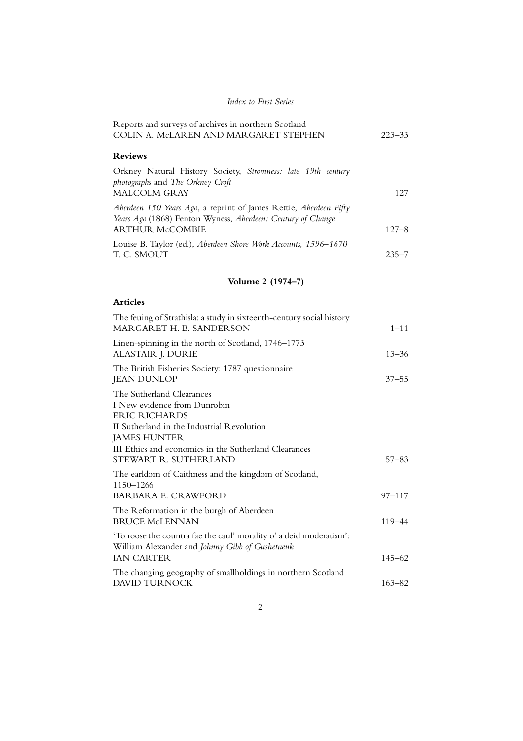| <b>Index to First Series</b>                                                                                                                                                                                    |            |
|-----------------------------------------------------------------------------------------------------------------------------------------------------------------------------------------------------------------|------------|
| Reports and surveys of archives in northern Scotland<br>COLIN A. McLAREN AND MARGARET STEPHEN                                                                                                                   | $223 - 33$ |
| <b>Reviews</b>                                                                                                                                                                                                  |            |
| Orkney Natural History Society, Stromness: late 19th century<br>photographs and The Orkney Croft<br><b>MALCOLM GRAY</b>                                                                                         | 127        |
| Aberdeen 150 Years Ago, a reprint of James Rettie, Aberdeen Fifty<br>Years Ago (1868) Fenton Wyness, Aberdeen: Century of Change<br><b>ARTHUR McCOMBIE</b>                                                      | $127 - 8$  |
| Louise B. Taylor (ed.), Aberdeen Shore Work Accounts, 1596-1670<br>T. C. SMOUT                                                                                                                                  | $235 - 7$  |
| Volume 2 (1974–7)                                                                                                                                                                                               |            |
| <b>Articles</b>                                                                                                                                                                                                 |            |
| The feuing of Strathisla: a study in sixteenth-century social history<br>MARGARET H. B. SANDERSON                                                                                                               | $1 - 11$   |
| Linen-spinning in the north of Scotland, 1746–1773<br>ALASTAIR J. DURIE                                                                                                                                         | $13 - 36$  |
| The British Fisheries Society: 1787 questionnaire<br><b>JEAN DUNLOP</b>                                                                                                                                         | $37 - 55$  |
| The Sutherland Clearances<br>I New evidence from Dunrobin<br><b>ERIC RICHARDS</b><br>II Sutherland in the Industrial Revolution<br><b>JAMES HUNTER</b><br>III Ethics and economics in the Sutherland Clearances |            |
| STEWART R. SUTHERLAND<br>The earldom of Caithness and the kingdom of Scotland,                                                                                                                                  | $57 - 83$  |
| 1150-1266<br><b>BARBARA E. CRAWFORD</b>                                                                                                                                                                         | $97 - 117$ |
| The Reformation in the burgh of Aberdeen<br><b>BRUCE McLENNAN</b>                                                                                                                                               | 119–44     |
| 'To roose the countra fae the caul' morality o' a deid moderatism':<br>William Alexander and Johnny Gibb of Gushetneuk<br><b>IAN CARTER</b>                                                                     | 145–62     |
| The changing geography of smallholdings in northern Scotland<br>DAVID TURNOCK                                                                                                                                   | $163 - 82$ |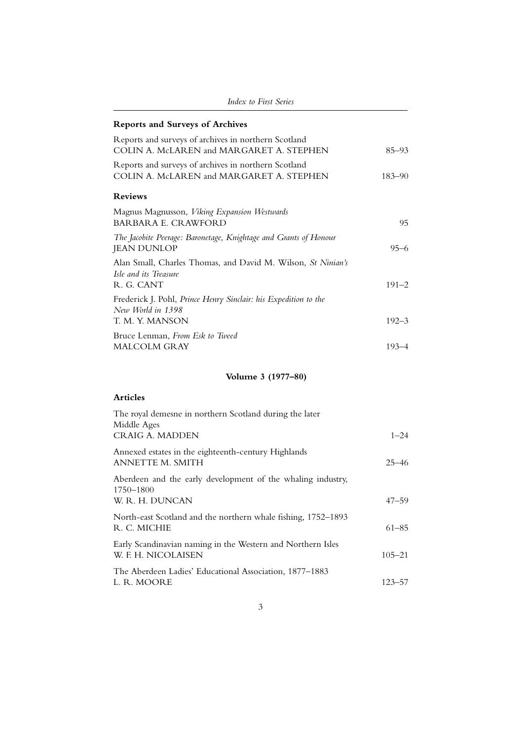| <i>Index to First Series</i>                                                                        |            |
|-----------------------------------------------------------------------------------------------------|------------|
| <b>Reports and Surveys of Archives</b>                                                              |            |
| Reports and surveys of archives in northern Scotland<br>COLIN A. McLAREN and MARGARET A. STEPHEN    | $85 - 93$  |
| Reports and surveys of archives in northern Scotland<br>COLIN A. McLAREN and MARGARET A. STEPHEN    | $183 - 90$ |
| <b>Reviews</b>                                                                                      |            |
| Magnus Magnusson, Viking Expansion Westwards<br><b>BARBARA E. CRAWFORD</b>                          | 95         |
| The Jacobite Peerage: Baronetage, Knightage and Grants of Honour<br><b>JEAN DUNLOP</b>              | $95 - 6$   |
| Alan Small, Charles Thomas, and David M. Wilson, St Ninian's<br>Isle and its Treasure<br>R. G. CANT | $191 - 2$  |
| Frederick J. Pohl, Prince Henry Sinclair: his Expedition to the<br>New World in 1398                |            |
| T. M. Y. MANSON                                                                                     | $192 - 3$  |
| Bruce Lenman, From Esk to Tweed<br><b>MALCOLM GRAY</b>                                              | $193 - 4$  |

## **Volume 3 (1977–80)**

| The royal demesne in northern Scotland during the later<br>Middle Ages                      |            |
|---------------------------------------------------------------------------------------------|------------|
| <b>CRAIG A. MADDEN</b>                                                                      | $1 - 24$   |
| Annexed estates in the eighteenth-century Highlands<br><b>ANNETTE M. SMITH</b>              | $25 - 46$  |
| Aberdeen and the early development of the whaling industry,<br>1750–1800<br>W. R. H. DUNCAN | $47 - 59$  |
| North-east Scotland and the northern whale fishing, 1752–1893<br>R. C. MICHIE               | $61 - 85$  |
| Early Scandinavian naming in the Western and Northern Isles<br>W. F. H. NICOLAISEN          | $105 - 21$ |
| The Aberdeen Ladies' Educational Association, 1877–1883<br>L. R. MOORE                      | $123 - 57$ |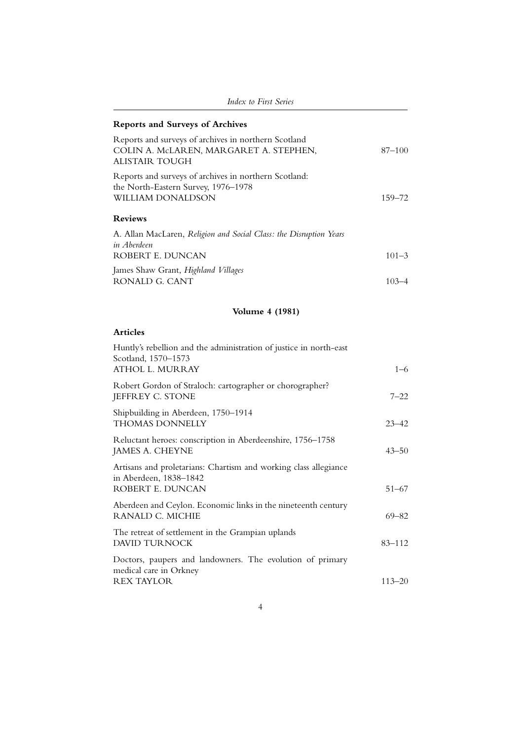| <i>Index to First Series</i>                                                                                             |            |
|--------------------------------------------------------------------------------------------------------------------------|------------|
| <b>Reports and Surveys of Archives</b>                                                                                   |            |
| Reports and surveys of archives in northern Scotland<br>COLIN A. McLAREN, MARGARET A. STEPHEN,<br>ALISTAIR TOUGH         | $87 - 100$ |
| Reports and surveys of archives in northern Scotland:<br>the North-Eastern Survey, 1976-1978<br><b>WILLIAM DONALDSON</b> | 159–72     |
| <b>Reviews</b>                                                                                                           |            |
| A. Allan MacLaren, Religion and Social Class: the Disruption Years<br>in Aberdeen<br>ROBERT E. DUNCAN                    | $101 - 3$  |
| James Shaw Grant, Highland Villages<br>RONALD G. CANT                                                                    | $103 - 4$  |

# **Volume 4 (1981)**

| Huntly's rebellion and the administration of justice in north-east<br>Scotland, 1570-1573<br>ATHOL L. MURRAY   | $1 - 6$    |
|----------------------------------------------------------------------------------------------------------------|------------|
| Robert Gordon of Straloch: cartographer or chorographer?<br>JEFFREY C. STONE                                   | $7 - 22$   |
| Shipbuilding in Aberdeen, 1750-1914<br><b>THOMAS DONNELLY</b>                                                  | $23 - 42$  |
| Reluctant heroes: conscription in Aberdeenshire, 1756–1758<br>JAMES A. CHEYNE                                  | $43 - 50$  |
| Artisans and proletarians: Chartism and working class allegiance<br>in Aberdeen, 1838-1842<br>ROBERT E. DUNCAN | $51 - 67$  |
| Aberdeen and Ceylon. Economic links in the nineteenth century<br>RANALD C. MICHIE                              | $69 - 82$  |
| The retreat of settlement in the Grampian uplands<br>DAVID TURNOCK                                             | $83 - 112$ |
| Doctors, paupers and landowners. The evolution of primary<br>medical care in Orkney                            |            |
| <b>REX TAYLOR</b>                                                                                              | $113 - 20$ |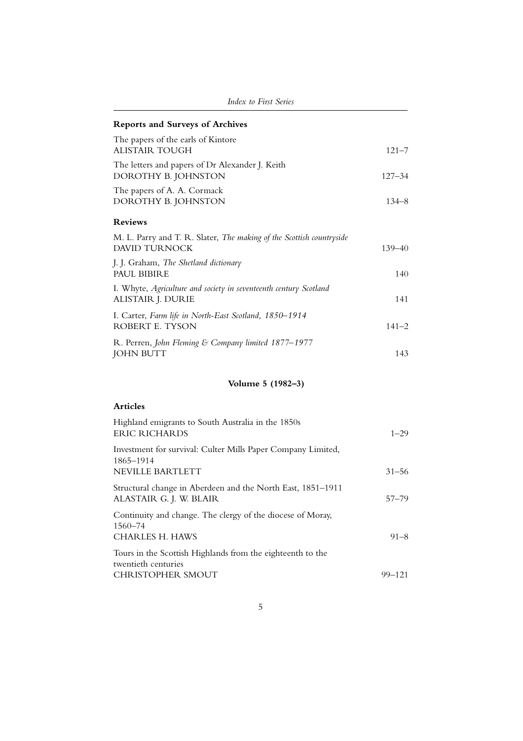| Index to First Series                                                                               |            |
|-----------------------------------------------------------------------------------------------------|------------|
| <b>Reports and Surveys of Archives</b>                                                              |            |
| The papers of the earls of Kintore<br><b>ALISTAIR TOUGH</b>                                         | $121 - 7$  |
| The letters and papers of Dr Alexander J. Keith<br>DOROTHY B. JOHNSTON                              | $127 - 34$ |
| The papers of A. A. Cormack<br>DOROTHY B. JOHNSTON                                                  | $134 - 8$  |
| <b>Reviews</b>                                                                                      |            |
| M. L. Parry and T. R. Slater, <i>The making of the Scottish countryside</i><br><b>DAVID TURNOCK</b> | $139 - 40$ |
| J. J. Graham, The Shetland dictionary<br>PAUL BIBIRE                                                | 140        |
| I. Whyte, Agriculture and society in seventeenth century Scotland<br>ALISTAIR J. DURIE              | 141        |
| I. Carter, Farm life in North-East Scotland, 1850-1914<br>ROBERT E. TYSON                           | $141 - 2$  |
| R. Perren, John Fleming & Company limited 1877-1977<br><b>JOHN BUTT</b>                             | 143        |
| Volume 5 (1982-3)                                                                                   |            |

| Highland emigrants to South Australia in the 1850s<br><b>ERIC RICHARDS</b>                           | $1 - 29$   |
|------------------------------------------------------------------------------------------------------|------------|
| Investment for survival: Culter Mills Paper Company Limited,<br>1865–1914<br><b>NEVILLE BARTLETT</b> | $31 - 56$  |
| Structural change in Aberdeen and the North East, 1851–1911<br>ALASTAIR G. J. W. BLAIR               | $57 - 79$  |
| Continuity and change. The clergy of the diocese of Moray,<br>1560–74                                |            |
| CHARLES H. HAWS<br>Tours in the Scottish Highlands from the eighteenth to the<br>twentieth centuries | $91 - 8$   |
| CHRISTOPHER SMOUT                                                                                    | $99 - 121$ |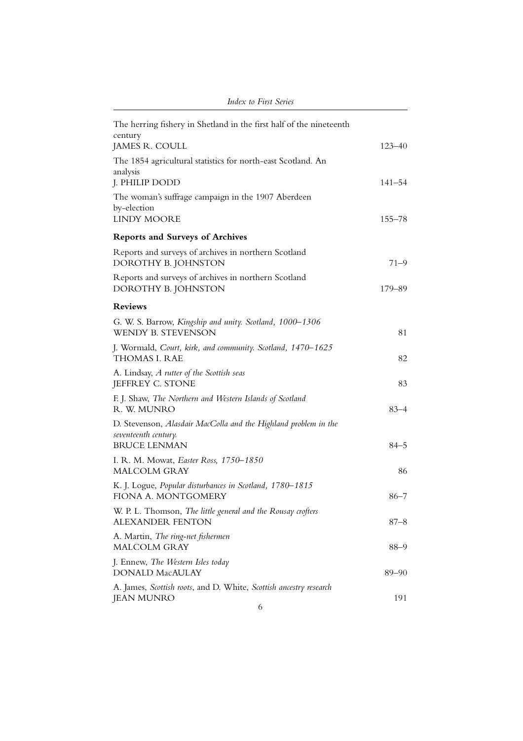| The herring fishery in Shetland in the first half of the nineteenth<br>century<br>JAMES R. COULL               | $123 - 40$ |
|----------------------------------------------------------------------------------------------------------------|------------|
| The 1854 agricultural statistics for north-east Scotland. An<br>analysis<br>J. PHILIP DODD                     | $141 - 54$ |
| The woman's suffrage campaign in the 1907 Aberdeen<br>by-election<br><b>LINDY MOORE</b>                        | $155 - 78$ |
| <b>Reports and Surveys of Archives</b>                                                                         |            |
| Reports and surveys of archives in northern Scotland<br>DOROTHY B. JOHNSTON                                    | 71–9       |
| Reports and surveys of archives in northern Scotland<br>DOROTHY B. JOHNSTON                                    | 179-89     |
| <b>Reviews</b>                                                                                                 |            |
| G. W. S. Barrow, Kingship and unity. Scotland, 1000-1306<br>WENDY B. STEVENSON                                 | 81         |
| J. Wormald, Court, kirk, and community. Scotland, 1470-1625<br>THOMAS I. RAE                                   | 82         |
| A. Lindsay, A rutter of the Scottish seas<br>JEFFREY C. STONE                                                  | 83         |
| F. J. Shaw, The Northern and Western Islands of Scotland<br>R. W. MUNRO                                        | $83 - 4$   |
| D. Stevenson, Alasdair MacColla and the Highland problem in the<br>seventeenth century.<br><b>BRUCE LENMAN</b> | $84 - 5$   |
| I. R. M. Mowat, Easter Ross, 1750-1850<br><b>MALCOLM GRAY</b>                                                  | 86         |
| K. J. Logue, Popular disturbances in Scotland, 1780-1815<br>FIONA A. MONTGOMERY                                | $86 - 7$   |
| W. P. L. Thomson, The little general and the Rousay crofters<br>ALEXANDER FENTON                               | $87 - 8$   |
| A. Martin, The ring-net fishermen<br><b>MALCOLM GRAY</b>                                                       | $88 - 9$   |
| J. Ennew, The Western Isles today<br><b>DONALD MacAULAY</b>                                                    | $89 - 90$  |
| A. James, Scottish roots, and D. White, Scottish ancestry research<br><b>JEAN MUNRO</b>                        | 191        |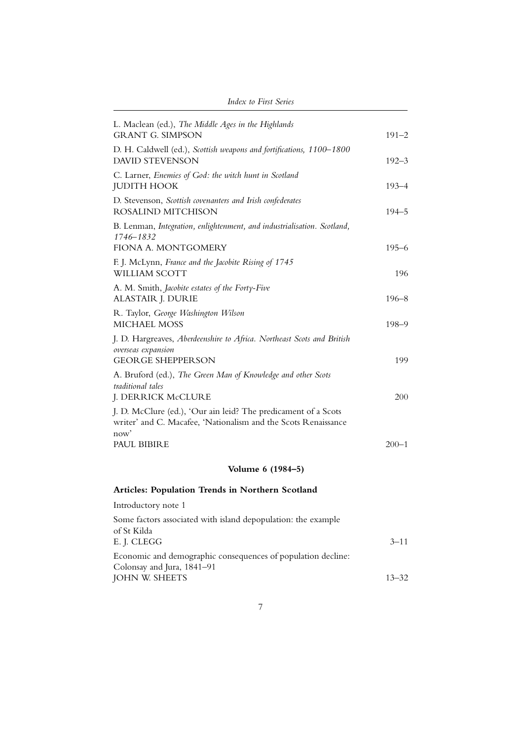| L. Maclean (ed.), The Middle Ages in the Highlands<br><b>GRANT G. SIMPSON</b>                                                            | $191 - 2$ |
|------------------------------------------------------------------------------------------------------------------------------------------|-----------|
| D. H. Caldwell (ed.), Scottish weapons and fortifications, 1100-1800<br><b>DAVID STEVENSON</b>                                           | $192 - 3$ |
| C. Larner, Enemies of God: the witch hunt in Scotland<br><b>JUDITH HOOK</b>                                                              | $193 - 4$ |
| D. Stevenson, Scottish covenanters and Irish confederates<br>ROSALIND MITCHISON                                                          | $194 - 5$ |
| B. Lenman, Integration, enlightenment, and industrialisation. Scotland,<br>1746-1832                                                     |           |
| FIONA A. MONTGOMERY                                                                                                                      | $195 - 6$ |
| F. J. McLynn, France and the Jacobite Rising of 1745<br>WILLIAM SCOTT                                                                    | 196       |
| A. M. Smith, Jacobite estates of the Forty-Five<br>ALASTAIR J. DURIE                                                                     | $196 - 8$ |
| R. Taylor, George Washington Wilson<br><b>MICHAEL MOSS</b>                                                                               | $198 - 9$ |
| J. D. Hargreaves, Aberdeenshire to Africa. Northeast Scots and British<br>overseas expansion<br><b>GEORGE SHEPPERSON</b>                 | 199       |
| A. Bruford (ed.), The Green Man of Knowledge and other Scots<br>traditional tales<br>J. DERRICK McCLURE                                  | 200       |
| J. D. McClure (ed.), 'Our ain leid? The predicament of a Scots<br>writer' and C. Macafee, 'Nationalism and the Scots Renaissance<br>now' |           |
| PAUL BIBIRE                                                                                                                              | $200 - 1$ |
| Volume 6 (1984-5)                                                                                                                        |           |
| Articles: Population Trends in Northern Scotland                                                                                         |           |
| Introductory note 1                                                                                                                      |           |
| Some factors associated with island depopulation: the example<br>of St Kilda<br>E. J. CLEGG                                              | $3 - 11$  |
| Economic and demographic consequences of population decline:<br>Colonsay and Jura, 1841-91                                               |           |
| JOHN W. SHEETS                                                                                                                           | $13 - 32$ |

7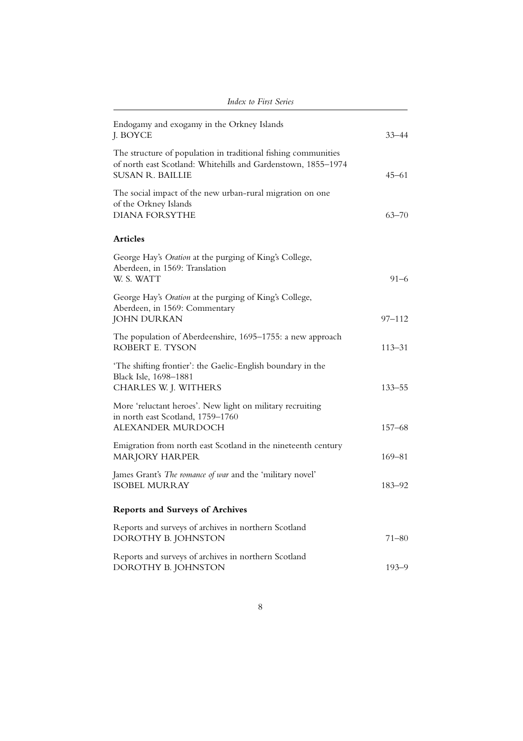| Endogamy and exogamy in the Orkney Islands<br>J. BOYCE                                                                                                     | $33 - 44$  |
|------------------------------------------------------------------------------------------------------------------------------------------------------------|------------|
| The structure of population in traditional fishing communities<br>of north east Scotland: Whitehills and Gardenstown, 1855-1974<br><b>SUSAN R. BAILLIE</b> | $45 - 61$  |
| The social impact of the new urban-rural migration on one<br>of the Orkney Islands<br><b>DIANA FORSYTHE</b>                                                | $63 - 70$  |
| <b>Articles</b>                                                                                                                                            |            |
| George Hay's Oration at the purging of King's College,<br>Aberdeen, in 1569: Translation<br>W. S. WATT                                                     | $91 - 6$   |
| George Hay's Oration at the purging of King's College,<br>Aberdeen, in 1569: Commentary<br><b>JOHN DURKAN</b>                                              | 97–112     |
| The population of Aberdeenshire, 1695–1755: a new approach<br>ROBERT E. TYSON                                                                              | $113 - 31$ |
| 'The shifting frontier': the Gaelic-English boundary in the<br>Black Isle, 1698-1881<br>CHARLES W. J. WITHERS                                              | $133 - 55$ |
| More 'reluctant heroes'. New light on military recruiting<br>in north east Scotland, 1759-1760<br>ALEXANDER MURDOCH                                        | $157 - 68$ |
| Emigration from north east Scotland in the nineteenth century<br><b>MARJORY HARPER</b>                                                                     | $169 - 81$ |
| James Grant's The romance of war and the 'military novel'<br><b>ISOBEL MURRAY</b>                                                                          | 183–92     |
| <b>Reports and Surveys of Archives</b>                                                                                                                     |            |
| Reports and surveys of archives in northern Scotland<br>DOROTHY B. JOHNSTON                                                                                | $71 - 80$  |
| Reports and surveys of archives in northern Scotland<br>DOROTHY B. JOHNSTON                                                                                | $193 - 9$  |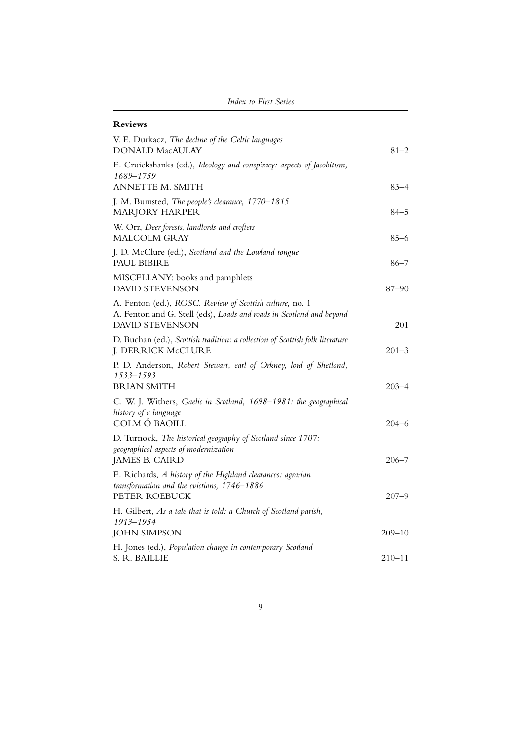### **Reviews**

| V. E. Durkacz, The decline of the Celtic languages<br><b>DONALD MacAULAY</b>                                                                               | $81 - 2$   |
|------------------------------------------------------------------------------------------------------------------------------------------------------------|------------|
| E. Cruickshanks (ed.), Ideology and conspiracy: aspects of Jacobitism,<br>1689–1759                                                                        |            |
| ANNETTE M. SMITH                                                                                                                                           | $83 - 4$   |
| J. M. Bumsted, The people's clearance, 1770-1815<br><b>MARJORY HARPER</b>                                                                                  | $84 - 5$   |
| W. Orr, Deer forests, landlords and crofters<br>MALCOLM GRAY                                                                                               | $85 - 6$   |
| J. D. McClure (ed.), Scotland and the Lowland tongue<br>PAUL BIBIRE                                                                                        | $86 - 7$   |
| MISCELLANY: books and pamphlets<br><b>DAVID STEVENSON</b>                                                                                                  | 87-90      |
| A. Fenton (ed.), ROSC. Review of Scottish culture, no. 1<br>A. Fenton and G. Stell (eds), Loads and roads in Scotland and beyond<br><b>DAVID STEVENSON</b> | 201        |
| D. Buchan (ed.), Scottish tradition: a collection of Scottish folk literature<br>J. DERRICK McCLURE                                                        | $201 - 3$  |
| P. D. Anderson, Robert Stewart, earl of Orkney, lord of Shetland,<br>1533-1593<br><b>BRIAN SMITH</b>                                                       | $203 - 4$  |
| C. W. J. Withers, Gaelic in Scotland, 1698-1981: the geographical<br>history of a language<br>COLM Ó BAOILL                                                | $204 - 6$  |
| D. Turnock, The historical geography of Scotland since 1707:<br>geographical aspects of modernization                                                      |            |
| JAMES B. CAIRD                                                                                                                                             | $206 - 7$  |
| E. Richards, A history of the Highland clearances: agrarian<br>transformation and the evictions, 1746-1886<br>PETER ROEBUCK                                | 207–9      |
| H. Gilbert, As a tale that is told: a Church of Scotland parish,<br>1913-1954                                                                              |            |
| <b>JOHN SIMPSON</b>                                                                                                                                        | $209 - 10$ |
| H. Jones (ed.), Population change in contemporary Scotland<br>S. R. BAILLIE                                                                                | $210 - 11$ |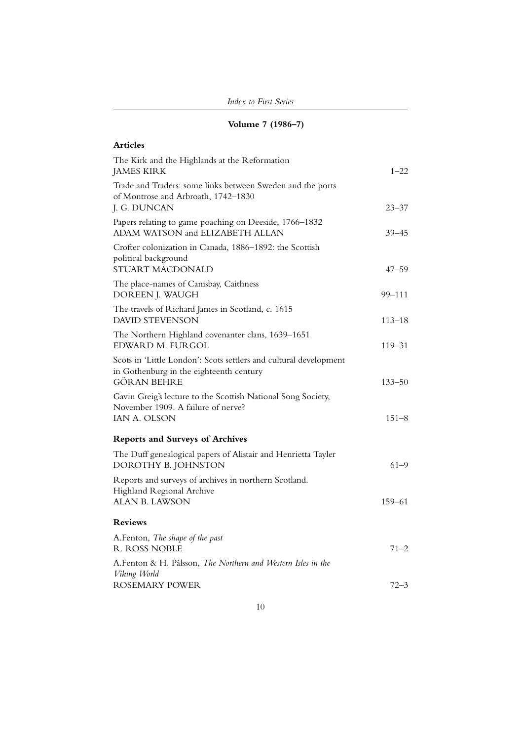|  | Volume 7 (1986-7) |
|--|-------------------|
|  |                   |

| The Kirk and the Highlands at the Reformation<br>$1 - 22$                                                                  |
|----------------------------------------------------------------------------------------------------------------------------|
| Trade and Traders: some links between Sweden and the ports<br>of Montrose and Arbroath, 1742-1830<br>$23 - 37$             |
| Papers relating to game poaching on Deeside, 1766–1832<br>ADAM WATSON and ELIZABETH ALLAN<br>39–45                         |
| Crofter colonization in Canada, 1886-1892: the Scottish<br>STUART MACDONALD<br>$47 - 59$                                   |
| The place-names of Canisbay, Caithness<br>DOREEN J. WAUGH<br>99-111                                                        |
| The travels of Richard James in Scotland, c. 1615<br><b>DAVID STEVENSON</b><br>$113 - 18$                                  |
| The Northern Highland covenanter clans, 1639-1651<br>EDWARD M. FURGOL<br>$119 - 31$                                        |
| Scots in 'Little London': Scots settlers and cultural development<br>in Gothenburg in the eighteenth century<br>$133 - 50$ |
| Gavin Greig's lecture to the Scottish National Song Society,<br>November 1909. A failure of nerve?<br>$151 - 8$            |
| <b>Reports and Surveys of Archives</b>                                                                                     |
| The Duff genealogical papers of Alistair and Henrietta Tayler<br>$61 - 9$<br>DOROTHY B. JOHNSTON                           |
| Reports and surveys of archives in northern Scotland.<br>Highland Regional Archive<br>159-61                               |
|                                                                                                                            |
| A.Fenton, The shape of the past<br>$71 - 2$                                                                                |
| A.Fenton & H. Pálsson, The Northern and Western Isles in the<br>$72 - 3$                                                   |
| ROSEMARY POWER                                                                                                             |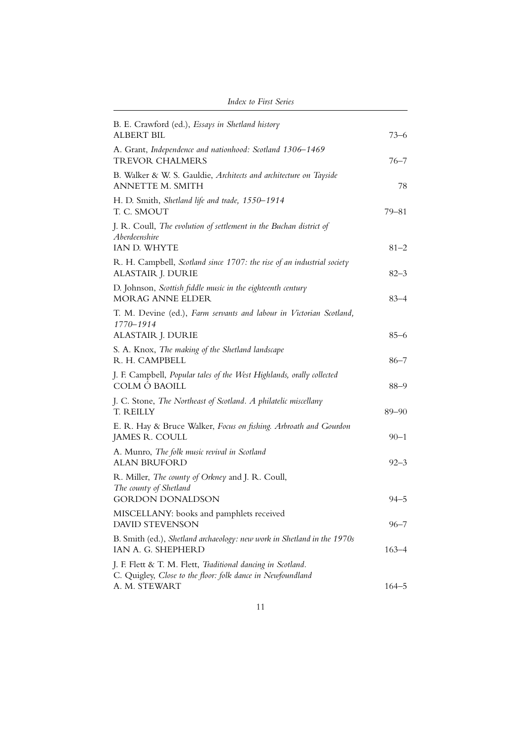| B. E. Crawford (ed.), Essays in Shetland history<br><b>ALBERT BIL</b>                                                     | $73 - 6$             |
|---------------------------------------------------------------------------------------------------------------------------|----------------------|
| A. Grant, Independence and nationhood: Scotland 1306-1469<br><b>TREVOR CHALMERS</b>                                       | 76–7                 |
| B. Walker & W. S. Gauldie, Architects and architecture on Tayside<br>ANNETTE M. SMITH                                     | 78                   |
| H. D. Smith, Shetland life and trade, 1550-1914<br>T. C. SMOUT                                                            | $79 - 81$            |
| J. R. Coull, The evolution of settlement in the Buchan district of<br>Aberdeenshire                                       |                      |
| IAN D. WHYTE<br>R. H. Campbell, Scotland since 1707: the rise of an industrial society<br>ALASTAIR J. DURIE               | $81 - 2$<br>$82 - 3$ |
| D. Johnson, Scottish fiddle music in the eighteenth century<br><b>MORAG ANNE ELDER</b>                                    | $83 - 4$             |
| T. M. Devine (ed.), Farm servants and labour in Victorian Scotland,<br>1770-1914<br>ALASTAIR J. DURIE                     | $85 - 6$             |
| S. A. Knox, The making of the Shetland landscape<br>R. H. CAMPBELL                                                        | $86 - 7$             |
| J. F. Campbell, Popular tales of the West Highlands, orally collected<br>COLM Ó BAOILL                                    | $88 - 9$             |
| J. C. Stone, The Northeast of Scotland. A philatelic miscellany<br>T. REILLY                                              | $89 - 90$            |
| E. R. Hay & Bruce Walker, Focus on fishing. Arbroath and Gourdon<br>JAMES R. COULL                                        | $90 - 1$             |
| A. Munro, The folk music revival in Scotland<br><b>ALAN BRUFORD</b>                                                       | 92–3                 |
| R. Miller, The county of Orkney and J. R. Coull,<br>The county of Shetland<br><b>GORDON DONALDSON</b>                     | $94 - 5$             |
| MISCELLANY: books and pamphlets received<br><b>DAVID STEVENSON</b>                                                        | 96–7                 |
| B. Smith (ed.), Shetland archaeology: new work in Shetland in the 1970s<br>IAN A. G. SHEPHERD                             | 163–4                |
| J. F. Flett & T. M. Flett, Traditional dancing in Scotland.<br>C. Quigley, Close to the floor: folk dance in Newfoundland |                      |
| A. M. STEWART                                                                                                             | $164 - 5$            |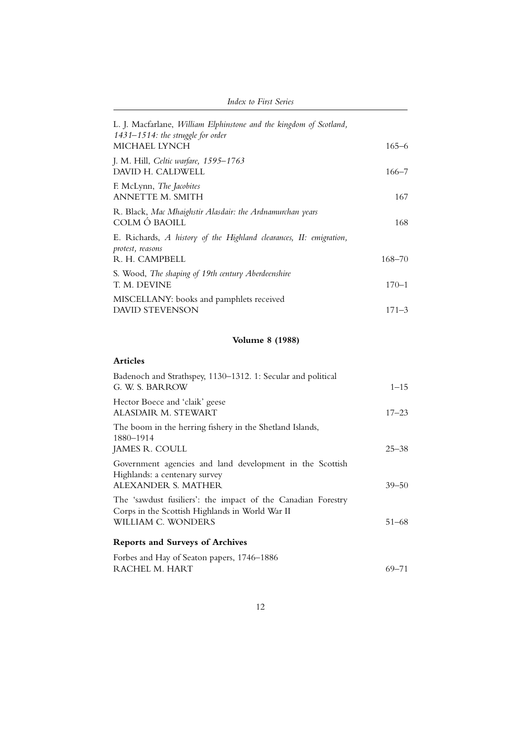| L. J. Macfarlane, William Elphinstone and the kingdom of Scotland,<br>$1431 - 1514$ : the struggle for order |            |
|--------------------------------------------------------------------------------------------------------------|------------|
| MICHAEL LYNCH                                                                                                | $165 - 6$  |
| J. M. Hill, Celtic warfare, 1595-1763<br>DAVID H. CALDWELL                                                   | 166–7      |
| F. McLynn, <i>The Jacobites</i><br>ANNETTE M. SMITH                                                          | 167        |
| R. Black, Mac Mhaighstir Alasdair: the Ardnamurchan years<br>COLM Ó BAOILL                                   | 168        |
| E. Richards, A history of the Highland clearances, II: emigration,<br>protest, reasons                       |            |
| R. H. CAMPBELL                                                                                               | $168 - 70$ |
| S. Wood, The shaping of 19th century Aberdeenshire<br>T. M. DEVINE                                           | $170 - 1$  |
| MISCELLANY: books and pamphlets received                                                                     |            |
| <b>DAVID STEVENSON</b>                                                                                       | $171 - 3$  |

# **Volume 8 (1988)**

| Badenoch and Strathspey, 1130–1312. 1: Secular and political<br>G. W. S. BARROW                                                       | $1 - 15$  |
|---------------------------------------------------------------------------------------------------------------------------------------|-----------|
| Hector Boece and 'claik' geese<br>ALASDAIR M. STEWART                                                                                 | $17 - 23$ |
| The boom in the herring fishery in the Shetland Islands,<br>1880–1914<br>JAMES R. COULL                                               | $25 - 38$ |
| Government agencies and land development in the Scottish<br>Highlands: a centenary survey<br>ALEXANDER S. MATHER                      | $39 - 50$ |
| The 'sawdust fusiliers': the impact of the Canadian Forestry<br>Corps in the Scottish Highlands in World War II<br>WILLIAM C. WONDERS | $51 - 68$ |
| <b>Reports and Surveys of Archives</b>                                                                                                |           |
| Forbes and Hay of Seaton papers, 1746-1886<br>RACHEL M. HART                                                                          | 69–71     |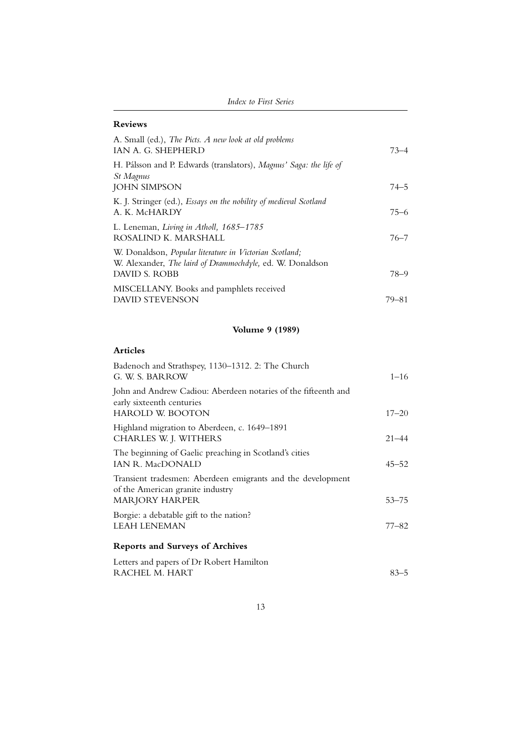### **Reviews**

| A. Small (ed.), The Picts. A new look at old problems<br>IAN A. G. SHEPHERD                                                                  | $73 - 4$ |
|----------------------------------------------------------------------------------------------------------------------------------------------|----------|
| H. Pálsson and P. Edwards (translators), Magnus' Saga: the life of<br>St Magnus<br><b>JOHN SIMPSON</b>                                       | $74 - 5$ |
| K. J. Stringer (ed.), Essays on the nobility of medieval Scotland<br>A. K. McHARDY                                                           | $75 - 6$ |
| L. Leneman, Living in Atholl, 1685–1785<br>ROSALIND K. MARSHALL                                                                              | $76 - 7$ |
| W. Donaldson, Popular literature in Victorian Scotland;<br>W. Alexander, The laird of Drammochdyle, ed. W. Donaldson<br><b>DAVID S. ROBB</b> | 78–9     |
| MISCELLANY. Books and pamphlets received<br><b>DAVID STEVENSON</b>                                                                           | 79–81    |

# **Volume 9 (1989)**

| Badenoch and Strathspey, 1130-1312. 2: The Church<br>G. W. S. BARROW                                                     | $1 - 16$  |
|--------------------------------------------------------------------------------------------------------------------------|-----------|
| John and Andrew Cadiou: Aberdeen notaries of the fifteenth and<br>early sixteenth centuries<br><b>HAROLD W. BOOTON</b>   | $17 - 20$ |
| Highland migration to Aberdeen, c. 1649-1891<br>CHARLES W. J. WITHERS                                                    | $21 - 44$ |
| The beginning of Gaelic preaching in Scotland's cities<br><b>IAN R. MacDONALD</b>                                        | $45 - 52$ |
| Transient tradesmen: Aberdeen emigrants and the development<br>of the American granite industry<br><b>MARJORY HARPER</b> | $53 - 75$ |
| Borgie: a debatable gift to the nation?<br><b>LEAH LENEMAN</b>                                                           | 77–82     |
| <b>Reports and Surveys of Archives</b>                                                                                   |           |
| Letters and papers of Dr Robert Hamilton<br>RACHEL M. HART                                                               | $83 - 5$  |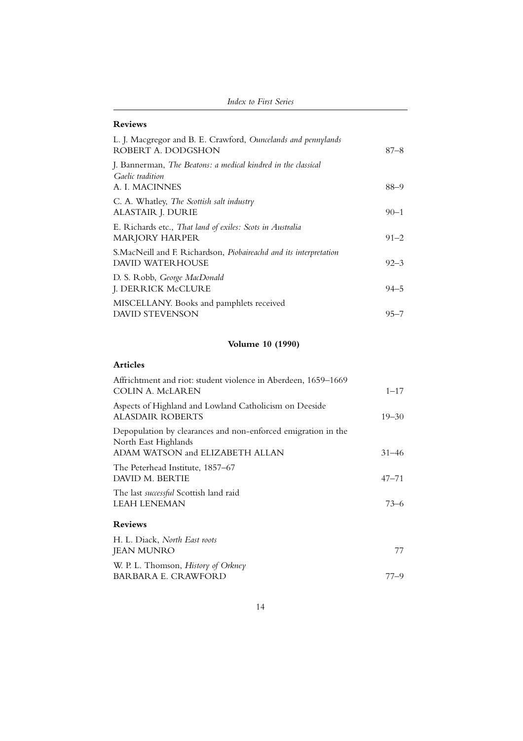| Index to First Series |
|-----------------------|
|-----------------------|

## **Reviews**

| L. J. Macgregor and B. E. Crawford, Ouncelands and pennylands<br>ROBERT A. DODGSHON                 | $87 - 8$ |
|-----------------------------------------------------------------------------------------------------|----------|
| J. Bannerman, The Beatons: a medical kindred in the classical<br>Gaelic tradition<br>A. I. MACINNES | $88 - 9$ |
| C. A. Whatley, The Scottish salt industry<br>ALASTAIR J. DURIE                                      | $90 - 1$ |
| E. Richards etc., That land of exiles: Scots in Australia<br>MARJORY HARPER                         | $91 - 2$ |
| S.MacNeill and F. Richardson, Piobaireachd and its interpretation<br>DAVID WATERHOUSE               | $92 - 3$ |
| D. S. Robb, George MacDonald<br>J. DERRICK McCLURE                                                  | $94 - 5$ |
| MISCELLANY. Books and pamphlets received<br>DAVID STEVENSON                                         | $95 - 7$ |

# **Volume 10 (1990)**

| Affrichtment and riot: student violence in Aberdeen, 1659–1669<br><b>COLIN A. McLAREN</b>                                | $1 - 17$  |
|--------------------------------------------------------------------------------------------------------------------------|-----------|
| Aspects of Highland and Lowland Catholicism on Deeside<br><b>ALASDAIR ROBERTS</b>                                        | $19 - 30$ |
| Depopulation by clearances and non-enforced emigration in the<br>North East Highlands<br>ADAM WATSON and ELIZABETH ALLAN | $31 - 46$ |
| The Peterhead Institute, 1857–67<br>DAVID M. BERTIE                                                                      | $47 - 71$ |
| The last successful Scottish land raid<br><b>LEAH LENEMAN</b>                                                            | $73 - 6$  |
| <b>Reviews</b>                                                                                                           |           |
| H. L. Diack, North East roots<br><b>JEAN MUNRO</b>                                                                       | 77        |
| W. P. L. Thomson, <i>History of Orkney</i><br>BARBARA E. CRAWFORD                                                        | 77–9      |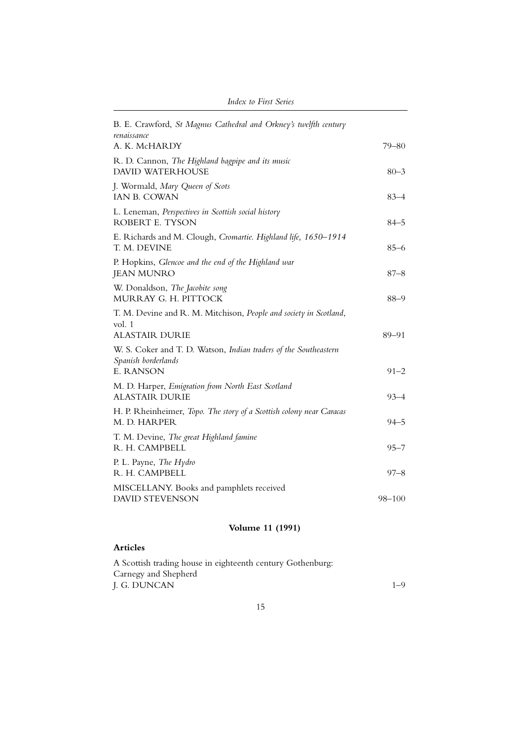| B. E. Crawford, St Magnus Cathedral and Orkney's twelfth century<br>renaissance                             |            |
|-------------------------------------------------------------------------------------------------------------|------------|
| A. K. McHARDY                                                                                               | $79 - 80$  |
| R. D. Cannon, The Highland bagpipe and its music<br><b>DAVID WATERHOUSE</b>                                 | $80 - 3$   |
| J. Wormald, Mary Queen of Scots<br><b>IAN B. COWAN</b>                                                      | $83 - 4$   |
| L. Leneman, Perspectives in Scottish social history<br>ROBERT E. TYSON                                      | $84 - 5$   |
| E. Richards and M. Clough, Cromartie. Highland life, 1650-1914<br>T. M. DEVINE                              | $85 - 6$   |
| P. Hopkins, Glencoe and the end of the Highland war<br><b>JEAN MUNRO</b>                                    | $87 - 8$   |
| W. Donaldson, The Jacobite song<br>MURRAY G. H. PITTOCK                                                     | $88 - 9$   |
| T. M. Devine and R. M. Mitchison, People and society in Scotland,<br>vol. 1<br><b>ALASTAIR DURIE</b>        | 89-91      |
| W. S. Coker and T. D. Watson, Indian traders of the Southeastern<br>Spanish borderlands<br><b>E. RANSON</b> | $91 - 2$   |
| M. D. Harper, Emigration from North East Scotland<br>ALASTAIR DURIE                                         | $93 - 4$   |
| H. P. Rheinheimer, Topo. The story of a Scottish colony near Caracas<br>M. D. HARPER                        | $94 - 5$   |
| T. M. Devine, The great Highland famine<br>R. H. CAMPBELL                                                   | $95 - 7$   |
| P. L. Payne, The Hydro<br>R. H. CAMPBELL                                                                    | $97 - 8$   |
| MISCELLANY. Books and pamphlets received<br><b>DAVID STEVENSON</b>                                          | $98 - 100$ |
|                                                                                                             |            |

# **Volume 11 (1991)**

| A Scottish trading house in eighteenth century Gothenburg: |         |
|------------------------------------------------------------|---------|
| Carnegy and Shepherd                                       |         |
| J. G. DUNCAN                                               | $1 - 9$ |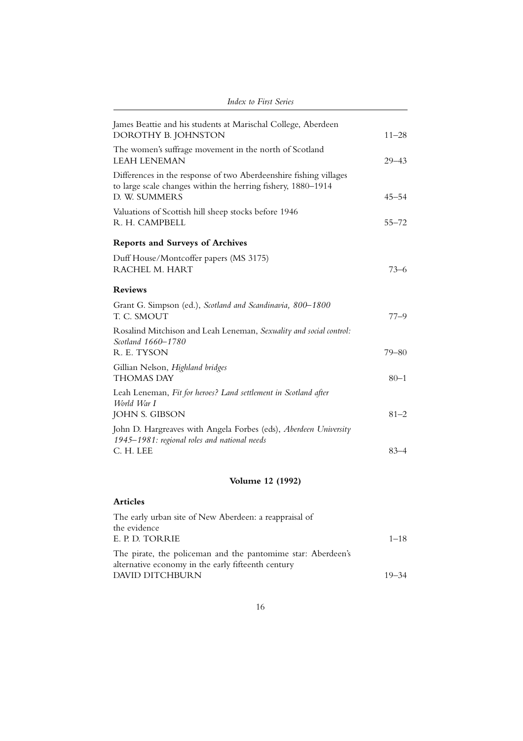| James Beattie and his students at Marischal College, Aberdeen<br>DOROTHY B. JOHNSTON                                                               | $11 - 28$ |
|----------------------------------------------------------------------------------------------------------------------------------------------------|-----------|
| The women's suffrage movement in the north of Scotland<br><b>LEAH LENEMAN</b>                                                                      | $29 - 43$ |
| Differences in the response of two Aberdeenshire fishing villages<br>to large scale changes within the herring fishery, 1880-1914<br>D. W. SUMMERS | $45 - 54$ |
| Valuations of Scottish hill sheep stocks before 1946<br>R. H. CAMPBELL                                                                             | $55 - 72$ |
| <b>Reports and Surveys of Archives</b>                                                                                                             |           |
| Duff House/Montcoffer papers (MS 3175)<br>RACHEL M. HART                                                                                           | $73 - 6$  |
| <b>Reviews</b>                                                                                                                                     |           |
| Grant G. Simpson (ed.), Scotland and Scandinavia, 800-1800<br>T. C. SMOUT                                                                          | $77 - 9$  |
| Rosalind Mitchison and Leah Leneman, Sexuality and social control:<br>Scotland 1660-1780<br>R. E. TYSON                                            |           |
|                                                                                                                                                    | $79 - 80$ |
| Gillian Nelson, Highland bridges<br><b>THOMAS DAY</b>                                                                                              | $80 - 1$  |
| Leah Leneman, Fit for heroes? Land settlement in Scotland after<br>World War I<br>JOHN S. GIBSON                                                   | $81 - 2$  |
| John D. Hargreaves with Angela Forbes (eds), Aberdeen University                                                                                   |           |
| 1945–1981: regional roles and national needs                                                                                                       |           |
| C. H. LEE                                                                                                                                          | $83 - 4$  |
|                                                                                                                                                    |           |

# **Volume 12 (1992)**

| The early urban site of New Aberdeen: a reappraisal of                                                             |           |
|--------------------------------------------------------------------------------------------------------------------|-----------|
| the evidence                                                                                                       |           |
| E. P. D. TORRIE                                                                                                    | $1 - 18$  |
| The pirate, the policeman and the pantomime star: Aberdeen's<br>alternative economy in the early fifteenth century |           |
| DAVID DITCHBURN                                                                                                    | $19 - 34$ |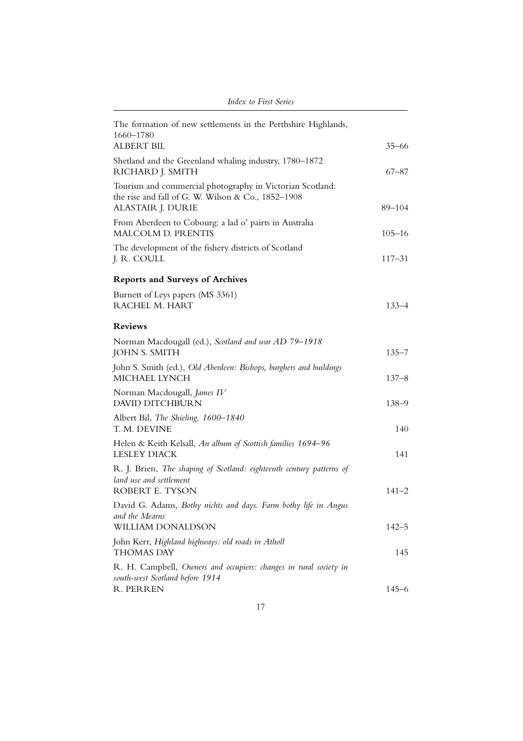| The formation of new settlements in the Perthshire Highlands,<br>1660-1780                                                           |            |
|--------------------------------------------------------------------------------------------------------------------------------------|------------|
| <b>ALBERT BIL</b>                                                                                                                    | $35 - 66$  |
| Shetland and the Greenland whaling industry, 1780-1872<br>RICHARD J. SMITH                                                           | $67 - 87$  |
| Tourism and commercial photography in Victorian Scotland:<br>the rise and fall of G. W. Wilson & Co., 1852-1908<br>ALASTAIR J. DURIE | 89-104     |
| From Aberdeen to Cobourg: a lad o' pairts in Australia<br>MALCOLM D. PRENTIS                                                         | $105 - 16$ |
| The development of the fishery districts of Scotland<br>J. R. COULL                                                                  | $117 - 31$ |
| <b>Reports and Surveys of Archives</b>                                                                                               |            |
| Burnett of Leys papers (MS 3361)<br>RACHEL M. HART                                                                                   | $133 - 4$  |
| <b>Reviews</b>                                                                                                                       |            |
| Norman Macdougall (ed.), Scotland and war AD 79-1918<br><b>JOHN S. SMITH</b>                                                         | $135 - 7$  |
| John S. Smith (ed.), Old Aberdeen: Bishops, burghers and buildings<br>MICHAEL LYNCH                                                  | $137 - 8$  |
| Norman Macdougall, James IV<br><b>DAVID DITCHBURN</b>                                                                                | $138 - 9$  |
| Albert Bil, The Shieling, 1600-1840<br>T. M. DEVINE                                                                                  | 140        |
| Helen & Keith Kelsall, An album of Scottish families 1694-96<br><b>LESLEY DIACK</b>                                                  | 141        |
| R. J. Brien, The shaping of Scotland: eighteenth century patterns of<br>land use and settlement<br>ROBERT E. TYSON                   | 141–2      |
| David G. Adams, Bothy nichts and days. Farm bothy life in Angus<br>and the Mearns                                                    |            |
| <b>WILLIAM DONALDSON</b>                                                                                                             | $142 - 5$  |
| John Kerr, Highland highways: old roads in Atholl<br><b>THOMAS DAY</b>                                                               | 145        |
| R. H. Campbell, Owners and occupiers: changes in rural society in<br>south-west Scotland before 1914                                 |            |
| R. PERREN                                                                                                                            | $145 - 6$  |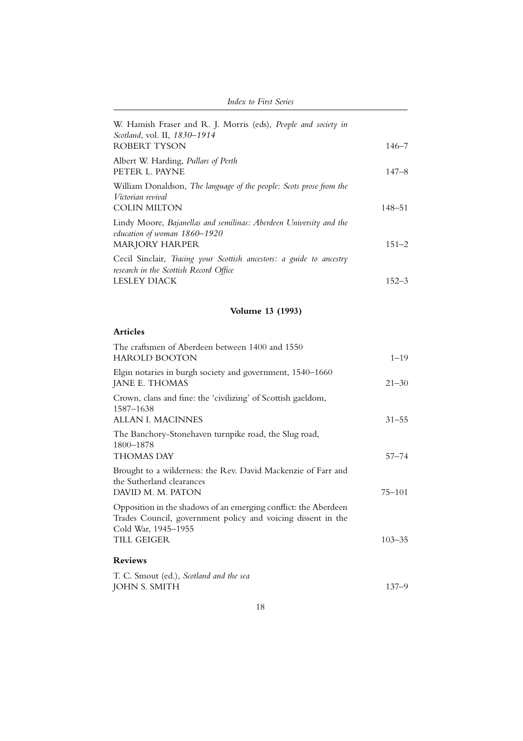| <i>Index to First Series</i>                                                                                                   |            |
|--------------------------------------------------------------------------------------------------------------------------------|------------|
| W. Hamish Fraser and R. J. Morris (eds), People and society in<br>Scotland, vol. II, 1830–1914<br>ROBERT TYSON                 | $146 - 7$  |
| Albert W. Harding, <i>Pullars of Perth</i><br>PETER L. PAYNE                                                                   | $147 - 8$  |
| William Donaldson, The language of the people: Scots prose from the<br>Victorian revival<br><b>COLIN MILTON</b>                | $148 - 51$ |
| Lindy Moore, Bajanellas and semilinas: Aberdeen University and the<br>education of woman 1860–1920<br><b>MARJORY HARPER</b>    | $151 - 2$  |
| Cecil Sinclair, Tracing your Scottish ancestors: a guide to ancestry<br>research in the Scottish Record Office<br>LESLEY DIACK | $152 - 3$  |
|                                                                                                                                |            |

# **Volume 13 (1993)**

| The craftsmen of Aberdeen between 1400 and 1550<br><b>HAROLD BOOTON</b>                                                                                | $1 - 19$   |
|--------------------------------------------------------------------------------------------------------------------------------------------------------|------------|
| Elgin notaries in burgh society and government, 1540–1660<br>JANE E. THOMAS                                                                            | $21 - 30$  |
| Crown, clans and fine: the 'civilizing' of Scottish gaeldom,<br>1587-1638<br>ALLAN I. MACINNES                                                         | $31 - 55$  |
| The Banchory-Stonehaven turnpike road, the Slug road,<br>1800-1878<br>THOMAS DAY                                                                       | $57 - 74$  |
| Brought to a wilderness: the Rev. David Mackenzie of Farr and<br>the Sutherland clearances<br>DAVID M. M. PATON                                        | $75 - 101$ |
| Opposition in the shadows of an emerging conflict: the Aberdeen<br>Trades Council, government policy and voicing dissent in the<br>Cold War, 1945–1955 |            |
| TILL GEIGER                                                                                                                                            | $103 - 35$ |
| <b>Reviews</b>                                                                                                                                         |            |
| T. C. Smout (ed.), Scotland and the sea                                                                                                                |            |
| <b>JOHN S. SMITH</b>                                                                                                                                   | $137 - 9$  |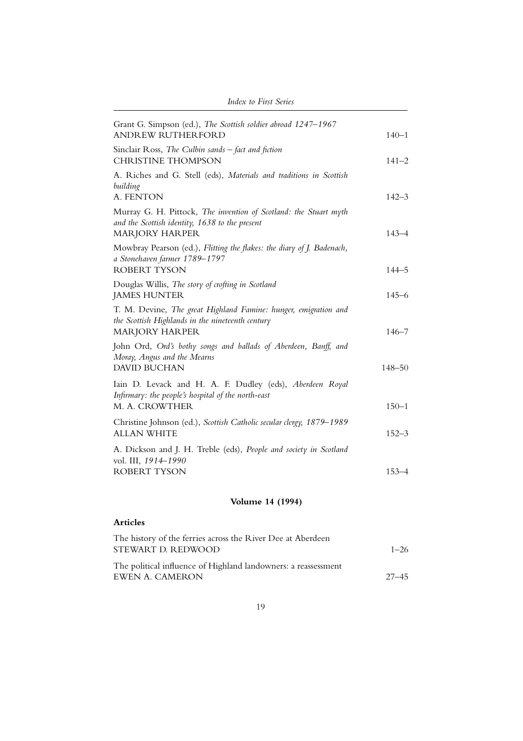| Grant G. Simpson (ed.), The Scottish soldier abroad 1247-1967<br><b>ANDREW RUTHERFORD</b>                                                    | $140 - 1$  |
|----------------------------------------------------------------------------------------------------------------------------------------------|------------|
| Sinclair Ross, The Culbin sands - fact and fiction<br><b>CHRISTINE THOMPSON</b>                                                              | $141 - 2$  |
| A. Riches and G. Stell (eds), Materials and traditions in Scottish<br>building<br>A. FENTON                                                  | $142 - 3$  |
| Murray G. H. Pittock, The invention of Scotland: the Stuart myth<br>and the Scottish identity, 1638 to the present<br><b>MARJORY HARPER</b>  | $143 - 4$  |
| Mowbray Pearson (ed.), Flitting the flakes: the diary of J. Badenach,<br>a Stonehaven farmer 1789-1797<br><b>ROBERT TYSON</b>                | $144 - 5$  |
| Douglas Willis, The story of crofting in Scotland<br><b>JAMES HUNTER</b>                                                                     | $145 - 6$  |
| T. M. Devine, The great Highland Famine: hunger, emigration and<br>the Scottish Highlands in the nineteenth century<br><b>MARJORY HARPER</b> | $146 - 7$  |
| John Ord, Ord's bothy songs and ballads of Aberdeen, Banff, and<br>Moray, Angus and the Mearns<br><b>DAVID BUCHAN</b>                        | $148 - 50$ |
| Iain D. Levack and H. A. F. Dudley (eds), Aberdeen Royal<br>Infirmary: the people's hospital of the north-east<br>M. A. CROWTHER             | $150 - 1$  |
| Christine Johnson (ed.), Scottish Catholic secular clergy, 1879-1989<br><b>ALLAN WHITE</b>                                                   | $152 - 3$  |
| A. Dickson and J. H. Treble (eds), People and society in Scotland<br>vol. III, 1914-1990<br>ROBERT TYSON                                     | $153 - 4$  |
|                                                                                                                                              |            |

# **Volume 14 (1994)**

| The history of the ferries across the River Dee at Aberdeen    |           |
|----------------------------------------------------------------|-----------|
| STEWART D. REDWOOD.                                            | $1 - 26$  |
| The political influence of Highland landowners: a reassessment |           |
| EWEN A. CAMERON                                                | $27 - 45$ |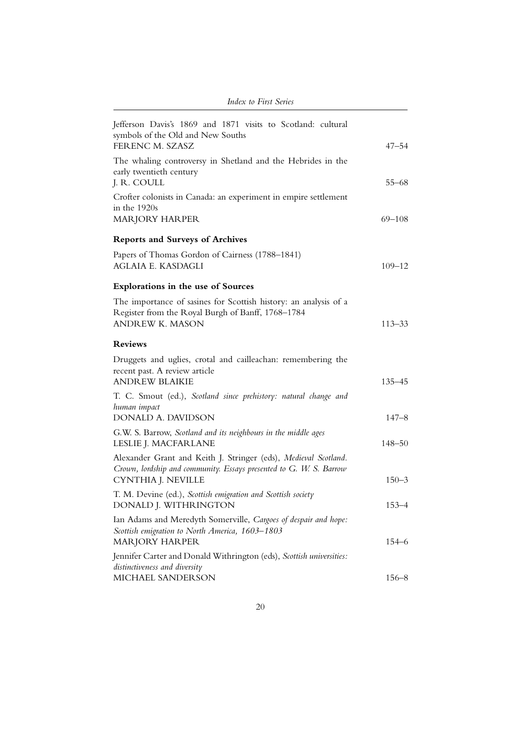| <b>Index to First Series</b>                                                                                                                                |            |
|-------------------------------------------------------------------------------------------------------------------------------------------------------------|------------|
| Jefferson Davis's 1869 and 1871 visits to Scotland: cultural<br>symbols of the Old and New Souths<br>FERENC M. SZASZ                                        | $47 - 54$  |
| The whaling controversy in Shetland and the Hebrides in the<br>early twentieth century<br>J. R. COULL                                                       | $55 - 68$  |
| Crofter colonists in Canada: an experiment in empire settlement<br>in the 1920s<br><b>MARJORY HARPER</b>                                                    | 69–108     |
| <b>Reports and Surveys of Archives</b>                                                                                                                      |            |
| Papers of Thomas Gordon of Cairness (1788–1841)<br>AGLAIA E. KASDAGLI                                                                                       | $109 - 12$ |
| <b>Explorations in the use of Sources</b>                                                                                                                   |            |
| The importance of sasines for Scottish history: an analysis of a<br>Register from the Royal Burgh of Banff, 1768-1784<br><b>ANDREW K. MASON</b>             | $113 - 33$ |
| <b>Reviews</b>                                                                                                                                              |            |
| Druggets and uglies, crotal and cailleachan: remembering the<br>recent past. A review article<br><b>ANDREW BLAIKIE</b>                                      | $135 - 45$ |
| T. C. Smout (ed.), Scotland since prehistory: natural change and<br>human impact<br>DONALD A. DAVIDSON                                                      | $147 - 8$  |
| G.W. S. Barrow, Scotland and its neighbours in the middle ages<br>LESLIE J. MACFARLANE                                                                      | 148–50     |
| Alexander Grant and Keith J. Stringer (eds), Medieval Scotland.<br>Crown, lordship and community. Essays presented to G. W. S. Barrow<br>CYNTHIA J. NEVILLE | $150 - 3$  |
| T. M. Devine (ed.), Scottish emigration and Scottish society<br>DONALD J. WITHRINGTON                                                                       | $153 - 4$  |
| Ian Adams and Meredyth Somerville, Cargoes of despair and hope:<br>Scottish emigration to North America, 1603-1803<br><b>MARJORY HARPER</b>                 | 154–6      |
| Jennifer Carter and Donald Withrington (eds), Scottish universities:<br>distinctiveness and diversity<br>MICHAEL SANDERSON                                  | $156 - 8$  |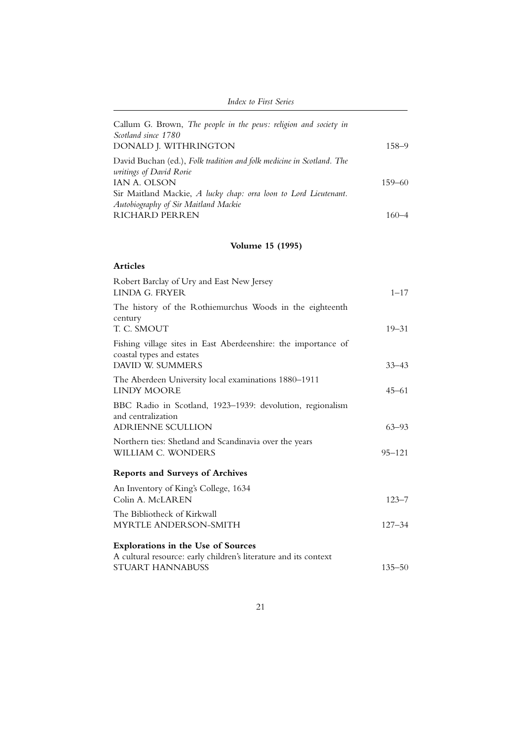| <i>Index to First Series</i>                                                                            |            |
|---------------------------------------------------------------------------------------------------------|------------|
| Callum G. Brown, The people in the pews: religion and society in<br>Scotland since 1780                 |            |
| DONALD J. WITHRINGTON                                                                                   | $158 - 9$  |
| David Buchan (ed.), Folk tradition and folk medicine in Scotland. The<br><i>uritings of David Rorie</i> |            |
| IAN A. OLSON                                                                                            | $159 - 60$ |
| Sir Maitland Mackie, A lucky chap: orra loon to Lord Lieutenant.                                        |            |
| Autobiography of Sir Maitland Mackie                                                                    |            |
| <b>RICHARD PERREN</b>                                                                                   |            |

## **Volume 15 (1995)**

| <b>Articles</b>                                                                             |            |
|---------------------------------------------------------------------------------------------|------------|
| Robert Barclay of Ury and East New Jersey<br>LINDA G. FRYER                                 | $1 - 17$   |
| The history of the Rothiemurchus Woods in the eighteenth<br>century<br>T. C. SMOUT          | $19 - 31$  |
| Fishing village sites in East Aberdeenshire: the importance of<br>coastal types and estates |            |
| DAVID W. SUMMERS                                                                            | $33 - 43$  |
| The Aberdeen University local examinations 1880-1911<br><b>LINDY MOORE</b>                  | $45 - 61$  |
| BBC Radio in Scotland, 1923-1939: devolution, regionalism<br>and centralization             |            |
| <b>ADRIENNE SCULLION</b>                                                                    | $63 - 93$  |
| Northern ties: Shetland and Scandinavia over the years<br>WILLIAM C. WONDERS                | $95 - 121$ |
| <b>Reports and Surveys of Archives</b>                                                      |            |
| An Inventory of King's College, 1634<br>Colin A. McLAREN                                    | $123 - 7$  |
| The Bibliotheck of Kirkwall                                                                 |            |
| MYRTLE ANDERSON-SMITH                                                                       | $127 - 34$ |
| <b>Explorations in the Use of Sources</b>                                                   |            |
| A cultural resource: early children's literature and its context                            |            |
| <b>STUART HANNABUSS</b>                                                                     | $135 - 50$ |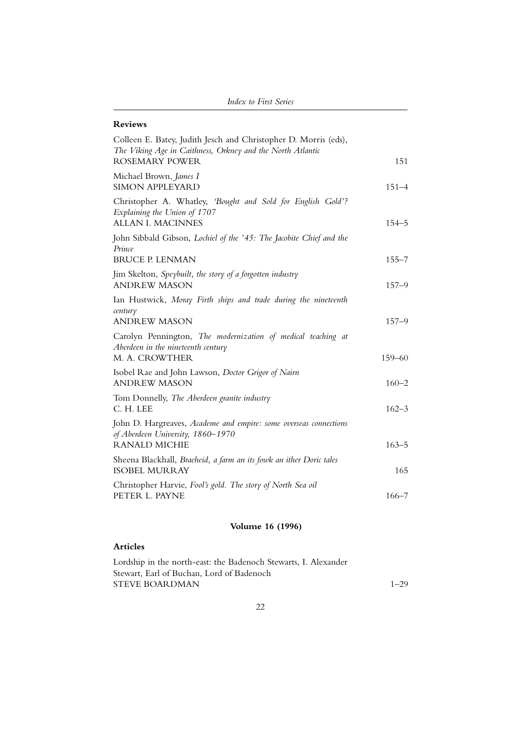| <b>Index to First Series</b> |  |
|------------------------------|--|
|------------------------------|--|

#### **Reviews**

| Colleen E. Batey, Judith Jesch and Christopher D. Morris (eds),<br>The Viking Age in Caithness, Orkney and the North Atlantic<br><b>ROSEMARY POWER</b> | 151        |
|--------------------------------------------------------------------------------------------------------------------------------------------------------|------------|
| Michael Brown, James I                                                                                                                                 |            |
| <b>SIMON APPLEYARD</b>                                                                                                                                 | $151 - 4$  |
| Christopher A. Whatley, 'Bought and Sold for English Gold'?<br>Explaining the Union of 1707<br>ALLAN I. MACINNES                                       | $154 - 5$  |
| John Sibbald Gibson, Lochiel of the '45: The Jacobite Chief and the<br>Prince                                                                          |            |
| <b>BRUCE P. LENMAN</b>                                                                                                                                 | $155 - 7$  |
| Jim Skelton, Speybuilt, the story of a forgotten industry<br><b>ANDREW MASON</b>                                                                       | $157 - 9$  |
| Ian Hustwick, Moray Firth ships and trade during the nineteenth                                                                                        |            |
| century<br><b>ANDREW MASON</b>                                                                                                                         | $157 - 9$  |
| Carolyn Pennington, The modernization of medical teaching at<br>Aberdeen in the nineteenth century<br>M. A. CROWTHER                                   | $159 - 60$ |
| Isobel Rae and John Lawson, Doctor Grigor of Nairn<br><b>ANDREW MASON</b>                                                                              | $160 - 2$  |
| Tom Donnelly, The Aberdeen granite industry<br>C. H. LEE                                                                                               | $162 - 3$  |
| John D. Hargreaves, Academe and empire: some overseas connections<br>of Aberdeen University, 1860-1970                                                 |            |
| <b>RANALD MICHIE</b>                                                                                                                                   | $163 - 5$  |
| Sheena Blackhall, Braeheid, a farm an its fowk an ither Doric tales<br><b>ISOBEL MURRAY</b>                                                            | 165        |
| Christopher Harvie, Fool's gold. The story of North Sea oil<br>PETER L. PAYNE                                                                          | $166 - 7$  |

# **Volume 16 (1996)**

### **Articles**

Lordship in the north-east: the Badenoch Stewarts, I. Alexander Stewart, Earl of Buchan, Lord of Badenoch STEVE BOARDMAN 1–29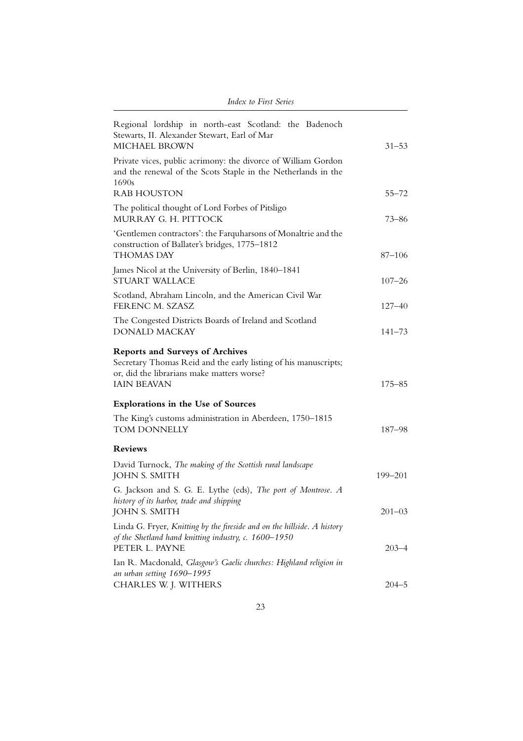| Index to First Series                                                                                                                                                         |            |
|-------------------------------------------------------------------------------------------------------------------------------------------------------------------------------|------------|
| Regional lordship in north-east Scotland: the Badenoch<br>Stewarts, II. Alexander Stewart, Earl of Mar<br><b>MICHAEL BROWN</b>                                                | $31 - 53$  |
| Private vices, public acrimony: the divorce of William Gordon<br>and the renewal of the Scots Staple in the Netherlands in the<br>1690s<br><b>RAB HOUSTON</b>                 | $55 - 72$  |
| The political thought of Lord Forbes of Pitsligo<br>MURRAY G. H. PITTOCK                                                                                                      | 73–86      |
| 'Gentlemen contractors': the Farquharsons of Monaltrie and the<br>construction of Ballater's bridges, 1775-1812<br><b>THOMAS DAY</b>                                          | $87 - 106$ |
| James Nicol at the University of Berlin, 1840-1841<br><b>STUART WALLACE</b>                                                                                                   | $107 - 26$ |
| Scotland, Abraham Lincoln, and the American Civil War<br>FERENC M. SZASZ                                                                                                      | 127–40     |
| The Congested Districts Boards of Ireland and Scotland<br><b>DONALD MACKAY</b>                                                                                                | $141 - 73$ |
| <b>Reports and Surveys of Archives</b><br>Secretary Thomas Reid and the early listing of his manuscripts;<br>or, did the librarians make matters worse?<br><b>IAIN BEAVAN</b> | 175–85     |
| <b>Explorations in the Use of Sources</b>                                                                                                                                     |            |
| The King's customs administration in Aberdeen, 1750–1815<br>TOM DONNELLY                                                                                                      | 187-98     |
| <b>Reviews</b>                                                                                                                                                                |            |
| David Turnock, The making of the Scottish rural landscape<br><b>JOHN S. SMITH</b>                                                                                             | 199-201    |
| G. Jackson and S. G. E. Lythe (eds), The port of Montrose. A<br>history of its harbor, trade and shipping<br><b>JOHN S. SMITH</b>                                             | $201 - 03$ |
| Linda G. Fryer, Knitting by the fireside and on the hillside. A history<br>of the Shetland hand knitting industry, c. 1600-1950<br>PETER L. PAYNE                             | $203 - 4$  |
| Ian R. Macdonald, Glasgow's Gaelic churches: Highland religion in<br>an urban setting 1690-1995<br>CHARLES W. J. WITHERS                                                      | $204 - 5$  |
|                                                                                                                                                                               |            |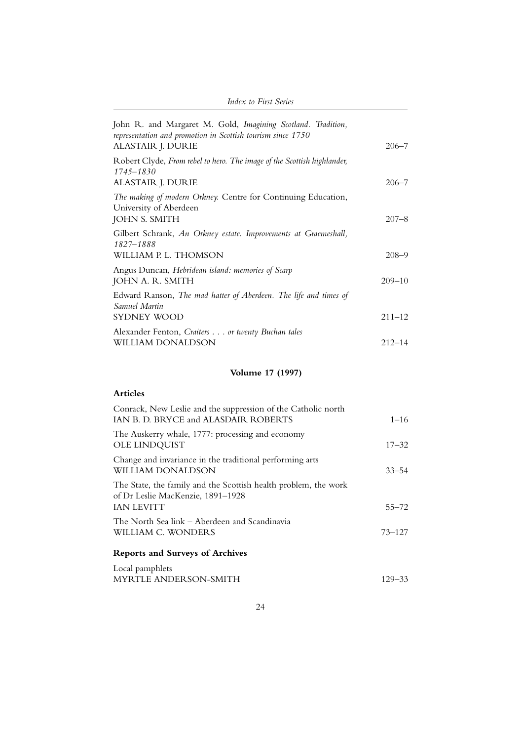| <i>Index to First Series</i>                                                                                                                     |            |
|--------------------------------------------------------------------------------------------------------------------------------------------------|------------|
| John R. and Margaret M. Gold, Imagining Scotland. Tradition,<br>representation and promotion in Scottish tourism since 1750<br>ALASTAIR J. DURIE | $206 - 7$  |
| Robert Clyde, From rebel to hero. The image of the Scottish highlander,<br>$1745 - 1830$<br>ALASTAIR J. DURIE                                    | $206 - 7$  |
| The making of modern Orkney. Centre for Continuing Education,<br>University of Aberdeen<br><b>JOHN S. SMITH</b>                                  | $207 - 8$  |
| Gilbert Schrank, An Orkney estate. Improvements at Graemeshall,<br>1827–1888<br>WILLIAM P. L. THOMSON                                            | $208 - 9$  |
| Angus Duncan, Hebridean island: memories of Scarp<br>JOHN A. R. SMITH                                                                            | $209 - 10$ |
| Edward Ranson, The mad hatter of Aberdeen. The life and times of<br>Samuel Martin<br>SYDNEY WOOD                                                 | $211 - 12$ |
| Alexander Fenton, Craiters or twenty Buchan tales<br>WILLIAM DONALDSON                                                                           | $212 - 14$ |

# **Volume 17 (1997)**

| Conrack, New Leslie and the suppression of the Catholic north<br>IAN B. D. BRYCE and ALASDAIR ROBERTS                     | $1 - 16$   |
|---------------------------------------------------------------------------------------------------------------------------|------------|
| The Auskerry whale, 1777: processing and economy<br>OLE LINDQUIST                                                         | $17 - 32$  |
| Change and invariance in the traditional performing arts<br>WILLIAM DONALDSON                                             | $33 - 54$  |
| The State, the family and the Scottish health problem, the work<br>of Dr Leslie MacKenzie, 1891–1928<br><b>IAN LEVITT</b> | $55 - 72$  |
| The North Sea link – Aberdeen and Scandinavia<br>WILLIAM C. WONDERS                                                       | $73 - 127$ |
| <b>Reports and Surveys of Archives</b>                                                                                    |            |
| Local pamphlets<br>MYRTLE ANDERSON-SMITH                                                                                  | 129–33     |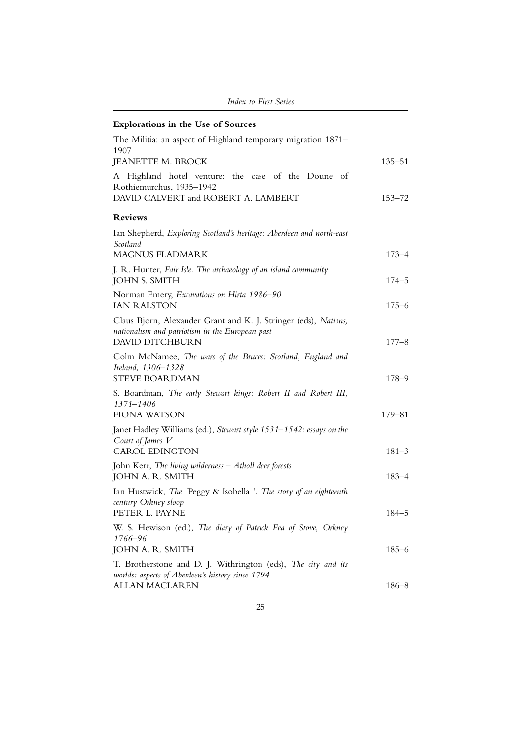| Index to First Series                                                                                                                        |            |
|----------------------------------------------------------------------------------------------------------------------------------------------|------------|
| Explorations in the Use of Sources                                                                                                           |            |
| The Militia: an aspect of Highland temporary migration 1871-                                                                                 |            |
| 1907<br>JEANETTE M. BROCK                                                                                                                    | 135–51     |
| Highland hotel venture: the case of the Doune of<br>A<br>Rothiemurchus, 1935-1942<br>DAVID CALVERT and ROBERT A. LAMBERT                     | $153 - 72$ |
| <b>Reviews</b>                                                                                                                               |            |
| Ian Shepherd, Exploring Scotland's heritage: Aberdeen and north-east<br>Scotland                                                             |            |
| MAGNUS FLADMARK                                                                                                                              | $173 - 4$  |
| J. R. Hunter, Fair Isle. The archaeology of an island community<br><b>JOHN S. SMITH</b>                                                      | $174 - 5$  |
| Norman Emery, Excavations on Hirta 1986-90<br><b>IAN RALSTON</b>                                                                             | $175 - 6$  |
| Claus Bjorn, Alexander Grant and K. J. Stringer (eds), Nations,<br>nationalism and patriotism in the European past<br><b>DAVID DITCHBURN</b> | $177 - 8$  |
| Colm McNamee, The wars of the Bruces: Scotland, England and<br>Ireland, 1306-1328<br><b>STEVE BOARDMAN</b>                                   | $178 - 9$  |
| S. Boardman, The early Stewart kings: Robert II and Robert III,<br>1371-1406                                                                 |            |
| FIONA WATSON<br>Janet Hadley Williams (ed.), Stewart style 1531–1542: essays on the<br>Court of James V                                      | 179–81     |
| <b>CAROL EDINGTON</b>                                                                                                                        | $181 - 3$  |
| John Kerr, The living wilderness $-A$ tholl deer forests<br>JOHN A. R. SMITH                                                                 | $183 - 4$  |
| Ian Hustwick, The 'Peggy & Isobella '. The story of an eighteenth<br>century Orkney sloop<br>PETER L. PAYNE                                  | $184 - 5$  |
| W. S. Hewison (ed.), The diary of Patrick Fea of Stove, Orkney<br>1766–96                                                                    |            |
| JOHN A. R. SMITH                                                                                                                             | $185 - 6$  |
| T. Brotherstone and D. J. Withrington (eds), The city and its<br>worlds: aspects of Aberdeen's history since 1794<br><b>ALLAN MACLAREN</b>   | $186 - 8$  |
|                                                                                                                                              |            |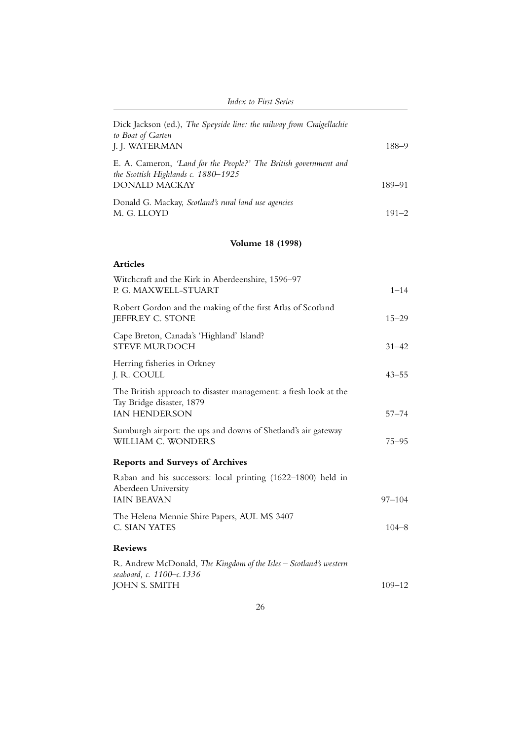| <b>Index to First Series</b>                                                                                                    |                     |
|---------------------------------------------------------------------------------------------------------------------------------|---------------------|
| Dick Jackson (ed.), The Speyside line: the railway from Craigellachie<br>to Boat of Garten<br>J. J. WATERMAN                    | $188 - 9$           |
| E. A. Cameron, 'Land for the People?' The British government and<br>the Scottish Highlands c. 1880-1925<br><b>DONALD MACKAY</b> |                     |
| Donald G. Mackay, Scotland's rural land use agencies<br>M. G. LLOYD                                                             | 189–91<br>$191 - 2$ |
| <b>Volume 18 (1998)</b>                                                                                                         |                     |
| <b>Articles</b>                                                                                                                 |                     |
| Witchcraft and the Kirk in Aberdeenshire, 1596–97<br>P. G. MAXWELL-STUART                                                       | $1 - 14$            |
| Robert Gordon and the making of the first Atlas of Scotland<br>JEFFREY C. STONE                                                 | $15 - 29$           |
| Cape Breton, Canada's 'Highland' Island?<br><b>STEVE MURDOCH</b>                                                                | $31 - 42$           |
| Herring fisheries in Orkney<br>J. R. COULL                                                                                      | $43 - 55$           |
| The British approach to disaster management: a fresh look at the<br>Tay Bridge disaster, 1879<br>IAN HENDERSON                  | $57 - 74$           |
| Sumburgh airport: the ups and downs of Shetland's air gateway<br>WILLIAM C. WONDERS                                             | 75–95               |
| <b>Reports and Surveys of Archives</b>                                                                                          |                     |
| Raban and his successors: local printing (1622–1800) held in<br>Aberdeen University<br><b>IAIN BEAVAN</b>                       | $97 - 104$          |
| The Helena Mennie Shire Papers, AUL MS 3407<br>C. SIAN YATES                                                                    | $104 - 8$           |
| <b>Reviews</b>                                                                                                                  |                     |
| R. Andrew McDonald, The Kingdom of the Isles - Scotland's western<br>seaboard, c. 1100–c.1336<br><b>JOHN S. SMITH</b>           | $109 - 12$          |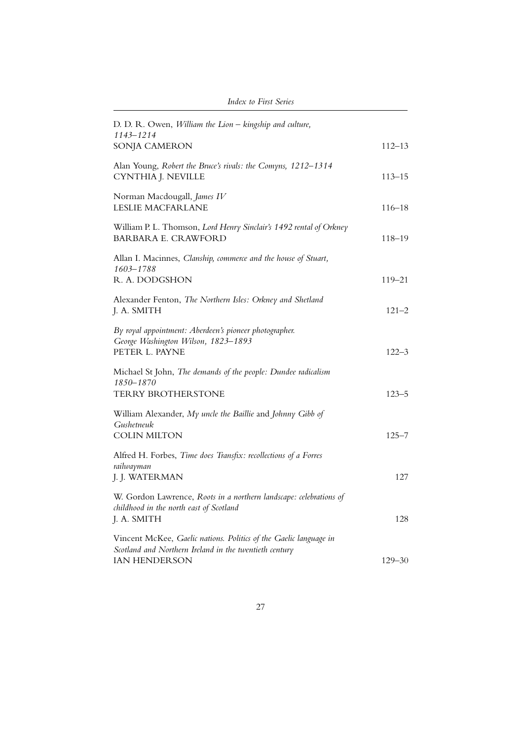| D. D. R. Owen, William the Lion - kingship and culture,<br>1143-1214<br>SONJA CAMERON                                       | $112 - 13$ |
|-----------------------------------------------------------------------------------------------------------------------------|------------|
|                                                                                                                             |            |
| Alan Young, Robert the Bruce's rivals: the Comyns, 1212-1314<br>CYNTHIA J. NEVILLE                                          | $113 - 15$ |
| Norman Macdougall, James IV<br>LESLIE MACFARLANE                                                                            | $116 - 18$ |
| William P. L. Thomson, Lord Henry Sinclair's 1492 rental of Orkney<br><b>BARBARA E. CRAWFORD</b>                            | $118 - 19$ |
| Allan I. Macinnes, Clanship, commerce and the house of Stuart,<br>1603-1788                                                 |            |
| R. A. DODGSHON                                                                                                              | $119 - 21$ |
| Alexander Fenton, The Northern Isles: Orkney and Shetland<br>J. A. SMITH                                                    | $121 - 2$  |
| By royal appointment: Aberdeen's pioneer photographer.<br>George Washington Wilson, 1823-1893<br>PETER L. PAYNE             | $122 - 3$  |
| Michael St John, The demands of the people: Dundee radicalism<br>1850-1870                                                  |            |
| TERRY BROTHERSTONE                                                                                                          | $123 - 5$  |
| William Alexander, My uncle the Baillie and Johnny Gibb of<br><b>Gushetneuk</b>                                             |            |
| <b>COLIN MILTON</b>                                                                                                         | $125 - 7$  |
| Alfred H. Forbes, Time does Transfix: recollections of a Forres<br>railwayman                                               |            |
| J. J. WATERMAN                                                                                                              | 127        |
| W. Gordon Lawrence, Roots in a northern landscape: celebrations of<br>childhood in the north east of Scotland               |            |
| J. A. SMITH                                                                                                                 | 128        |
| Vincent McKee, Gaelic nations. Politics of the Gaelic language in<br>Scotland and Northern Ireland in the twentieth century |            |
| <b>IAN HENDERSON</b>                                                                                                        | $129 - 30$ |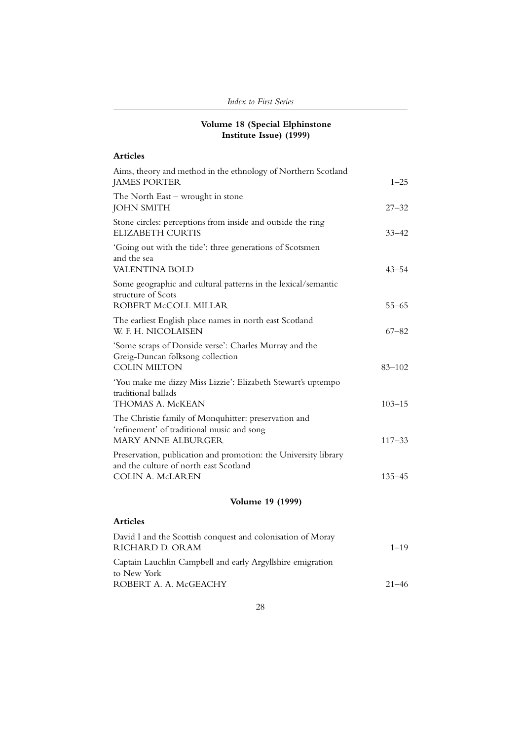### **Volume 18 (Special Elphinstone Institute Issue) (1999)**

| <b>Articles</b>                                                                                                                      |            |
|--------------------------------------------------------------------------------------------------------------------------------------|------------|
| Aims, theory and method in the ethnology of Northern Scotland<br><b>JAMES PORTER</b>                                                 | $1 - 25$   |
| The North East - wrought in stone<br><b>JOHN SMITH</b>                                                                               | $27 - 32$  |
| Stone circles: perceptions from inside and outside the ring<br><b>ELIZABETH CURTIS</b>                                               | $33 - 42$  |
| 'Going out with the tide': three generations of Scotsmen<br>and the sea<br><b>VALENTINA BOLD</b>                                     | $43 - 54$  |
| Some geographic and cultural patterns in the lexical/semantic<br>structure of Scots<br>ROBERT McCOLL MILLAR                          | $55 - 65$  |
| The earliest English place names in north east Scotland<br>W. F. H. NICOLAISEN                                                       | $67 - 82$  |
| 'Some scraps of Donside verse': Charles Murray and the<br>Greig-Duncan folksong collection<br><b>COLIN MILTON</b>                    | $83 - 102$ |
| 'You make me dizzy Miss Lizzie': Elizabeth Stewart's uptempo<br>traditional ballads<br>THOMAS A. McKEAN                              | $103 - 15$ |
| The Christie family of Monquhitter: preservation and<br>'refinement' of traditional music and song<br><b>MARY ANNE ALBURGER</b>      | $117 - 33$ |
| Preservation, publication and promotion: the University library<br>and the culture of north east Scotland<br><b>COLIN A. McLAREN</b> | $135 - 45$ |
|                                                                                                                                      |            |

## **Volume 19 (1999)**

| David I and the Scottish conquest and colonisation of Moray |           |
|-------------------------------------------------------------|-----------|
| RICHARD D. ORAM                                             | $1 - 19$  |
| Captain Lauchlin Campbell and early Argyllshire emigration  |           |
| to New York                                                 |           |
| ROBERT A. A. McGEACHY                                       | $21 - 46$ |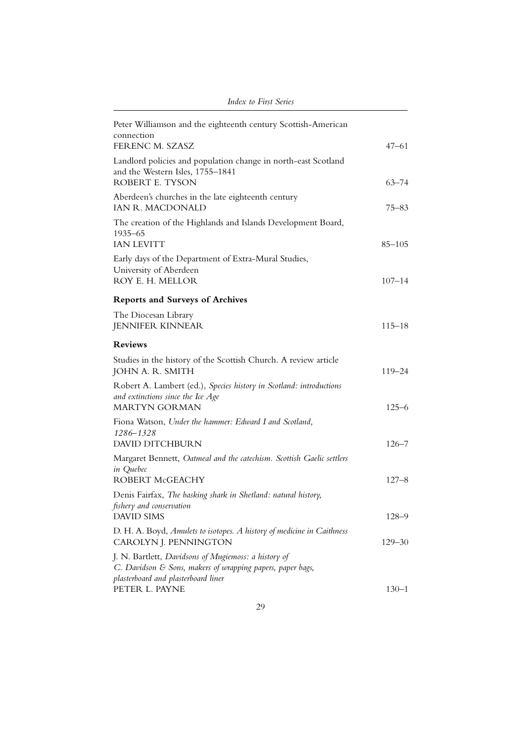| Peter Williamson and the eighteenth century Scottish-American<br>connection<br>FERENC M. SZASZ                                                            | $47 - 61$  |
|-----------------------------------------------------------------------------------------------------------------------------------------------------------|------------|
| Landlord policies and population change in north-east Scotland<br>and the Western Isles, 1755-1841<br>ROBERT E. TYSON                                     | $63 - 74$  |
| Aberdeen's churches in the late eighteenth century<br><b>IAN R. MACDONALD</b>                                                                             | 75–83      |
| The creation of the Highlands and Islands Development Board,<br>1935-65<br><b>IAN LEVITT</b>                                                              | $85 - 105$ |
| Early days of the Department of Extra-Mural Studies,<br>University of Aberdeen<br>ROY E. H. MELLOR                                                        | $107 - 14$ |
| <b>Reports and Surveys of Archives</b>                                                                                                                    |            |
| The Diocesan Library<br><b>JENNIFER KINNEAR</b>                                                                                                           | $115 - 18$ |
| <b>Reviews</b>                                                                                                                                            |            |
| Studies in the history of the Scottish Church. A review article<br>JOHN A. R. SMITH                                                                       | $119 - 24$ |
| Robert A. Lambert (ed.), Species history in Scotland: introductions<br>and extinctions since the Ice Age<br><b>MARTYN GORMAN</b>                          | $125 - 6$  |
| Fiona Watson, Under the hammer: Edward I and Scotland,<br>1286-1328                                                                                       |            |
| DAVID DITCHBURN                                                                                                                                           | $126 - 7$  |
| Margaret Bennett, Oatmeal and the catechism. Scottish Gaelic settlers<br>in Quebec<br>ROBERT McGEACHY                                                     | $127 - 8$  |
| Denis Fairfax, The basking shark in Shetland: natural history,<br>fishery and conservation<br><b>DAVID SIMS</b>                                           | $128 - 9$  |
| D. H. A. Boyd, Amulets to isotopes. A history of medicine in Caithness<br>CAROLYN J. PENNINGTON                                                           | $129 - 30$ |
| J. N. Bartlett, Davidsons of Mugiemoss: a history of<br>C. Davidson & Sons, makers of wrapping papers, paper bags,<br>plasterboard and plasterboard liner |            |
| PETER L. PAYNE                                                                                                                                            | $130 - 1$  |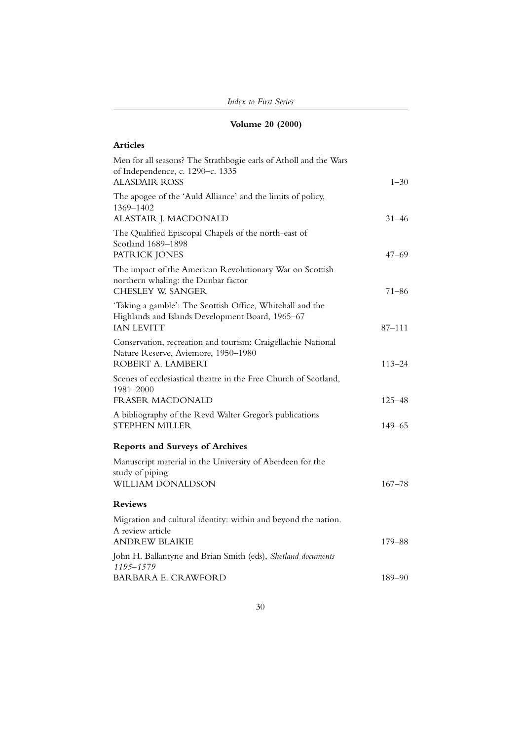| <b>Index to First Series</b> |  |
|------------------------------|--|
|------------------------------|--|

# **Volume 20 (2000)**

| Men for all seasons? The Strathbogie earls of Atholl and the Wars<br>of Independence, c. 1290-c. 1335                              |                          |
|------------------------------------------------------------------------------------------------------------------------------------|--------------------------|
| <b>ALASDAIR ROSS</b><br>The apogee of the 'Auld Alliance' and the limits of policy,                                                | $1 - 30$                 |
| 1369-1402<br>ALASTAIR J. MACDONALD                                                                                                 | $31 - 46$                |
| The Qualified Episcopal Chapels of the north-east of<br>Scotland 1689-1898<br>PATRICK JONES                                        | $47 - 69$                |
| The impact of the American Revolutionary War on Scottish<br>northern whaling: the Dunbar factor<br><b>CHESLEY W. SANGER</b>        | $71 - 86$                |
| 'Taking a gamble': The Scottish Office, Whitehall and the<br>Highlands and Islands Development Board, 1965-67<br><b>IAN LEVITT</b> | $87 - 111$               |
| Conservation, recreation and tourism: Craigellachie National<br>Nature Reserve, Aviemore, 1950-1980<br>ROBERT A. LAMBERT           | $113 - 24$               |
| Scenes of ecclesiastical theatre in the Free Church of Scotland,<br>1981-2000                                                      |                          |
| FRASER MACDONALD<br>A bibliography of the Revd Walter Gregor's publications<br><b>STEPHEN MILLER</b>                               | $125 - 48$<br>$149 - 65$ |
| <b>Reports and Surveys of Archives</b>                                                                                             |                          |
| Manuscript material in the University of Aberdeen for the<br>study of piping<br>WILLIAM DONALDSON                                  | $167 - 78$               |
| <b>Reviews</b>                                                                                                                     |                          |
| Migration and cultural identity: within and beyond the nation.<br>A review article<br><b>ANDREW BLAIKIE</b>                        | $179 - 88$               |
| John H. Ballantyne and Brian Smith (eds), Shetland documents<br>1195-1579                                                          |                          |
| <b>BARBARA E. CRAWFORD</b>                                                                                                         | $189 - 90$               |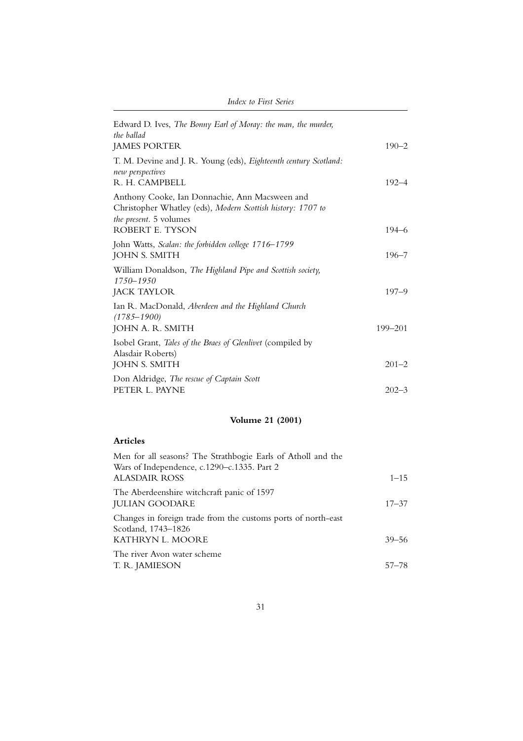| Edward D. Ives, The Bonny Earl of Moray: the man, the murder,<br>the ballad                                                             |           |
|-----------------------------------------------------------------------------------------------------------------------------------------|-----------|
| <b>JAMES PORTER</b>                                                                                                                     | $190 - 2$ |
| T. M. Devine and J. R. Young (eds), Eighteenth century Scotland:<br>new perspectives<br>R. H. CAMPBELL                                  | $192 - 4$ |
| Anthony Cooke, Ian Donnachie, Ann Macsween and<br>Christopher Whatley (eds), Modern Scottish history: 1707 to<br>the present. 5 volumes |           |
| ROBERT E. TYSON                                                                                                                         | $194 - 6$ |
| John Watts, Scalan: the forbidden college 1716–1799<br><b>JOHN S. SMITH</b>                                                             | $196 - 7$ |
| William Donaldson, The Highland Pipe and Scottish society,<br>$1750 - 1950$                                                             |           |
| <b>JACK TAYLOR</b>                                                                                                                      | $197 - 9$ |
| Ian R. MacDonald, Aberdeen and the Highland Church<br>$(1785 - 1900)$                                                                   |           |
| JOHN A. R. SMITH                                                                                                                        | 199-201   |
| Isobel Grant, Tales of the Braes of Glenlivet (compiled by<br>Alasdair Roberts)                                                         |           |
| JOHN S. SMITH                                                                                                                           | $201 - 2$ |
| Don Aldridge, The rescue of Captain Scott                                                                                               |           |
| PETER L. PAYNE                                                                                                                          | $202 - 3$ |

# **Volume 21 (2001)**

| Men for all seasons? The Strathbogie Earls of Atholl and the<br>Wars of Independence, c.1290–c.1335. Part 2 |           |
|-------------------------------------------------------------------------------------------------------------|-----------|
| <b>ALASDAIR ROSS</b>                                                                                        | $1 - 15$  |
| The Aberdeenshire witchcraft panic of 1597<br><b>JULIAN GOODARE</b>                                         | $17 - 37$ |
| Changes in foreign trade from the customs ports of north-east<br>Scotland, 1743–1826                        |           |
| KATHRYN L. MOORE                                                                                            | $39 - 56$ |
| The river Avon water scheme<br>T. R. JAMIESON                                                               | $57 - 78$ |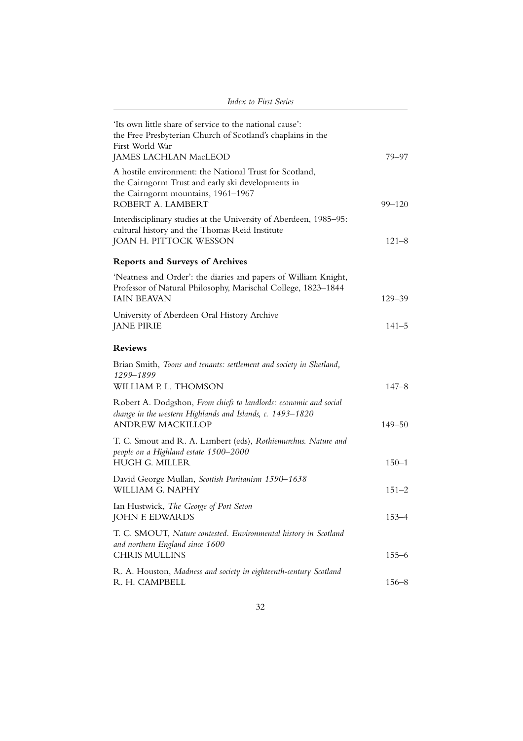| $\mu$ , $\mu$ , $\mu$ , $\mu$ , $\mu$ , $\mu$ , $\mu$ , $\mu$ , $\mu$ , $\mu$                                                                                              |                         |
|----------------------------------------------------------------------------------------------------------------------------------------------------------------------------|-------------------------|
| 'Its own little share of service to the national cause':<br>the Free Presbyterian Church of Scotland's chaplains in the<br>First World War<br><b>JAMES LACHLAN MacLEOD</b> | 79–97                   |
| A hostile environment: the National Trust for Scotland,<br>the Cairngorm Trust and early ski developments in<br>the Cairngorm mountains, 1961-1967                         |                         |
| ROBERT A. LAMBERT<br>Interdisciplinary studies at the University of Aberdeen, 1985–95:<br>cultural history and the Thomas Reid Institute<br>JOAN H. PITTOCK WESSON         | $99 - 120$<br>$121 - 8$ |
| <b>Reports and Surveys of Archives</b>                                                                                                                                     |                         |
| 'Neatness and Order': the diaries and papers of William Knight,<br>Professor of Natural Philosophy, Marischal College, 1823-1844<br><b>IAIN BEAVAN</b>                     | $129 - 39$              |
| University of Aberdeen Oral History Archive<br><b>JANE PIRIE</b>                                                                                                           | $141 - 5$               |
| <b>Reviews</b>                                                                                                                                                             |                         |
| Brian Smith, Toons and tenants: settlement and society in Shetland,<br>1299-1899<br>WILLIAM P. L. THOMSON                                                                  | $147 - 8$               |
| Robert A. Dodgshon, From chiefs to landlords: economic and social<br>change in the western Highlands and Islands, c. 1493-1820<br><b>ANDREW MACKILLOP</b>                  | $149 - 50$              |
| T. C. Smout and R. A. Lambert (eds), Rothiemurchus. Nature and<br>people on a Highland estate 1500-2000<br><b>HUGH G. MILLER</b>                                           | $150 - 1$               |
| David George Mullan, Scottish Puritanism 1590-1638<br>WILLIAM G. NAPHY                                                                                                     | $151 - 2$               |
| Ian Hustwick, The George of Port Seton<br><b>JOHN F. EDWARDS</b>                                                                                                           | $153 - 4$               |
| T. C. SMOUT, Nature contested. Environmental history in Scotland<br>and northern England since 1600<br><b>CHRIS MULLINS</b>                                                | $155 - 6$               |
| R. A. Houston, Madness and society in eighteenth-century Scotland<br>R. H. CAMPBELL                                                                                        | $156 - 8$               |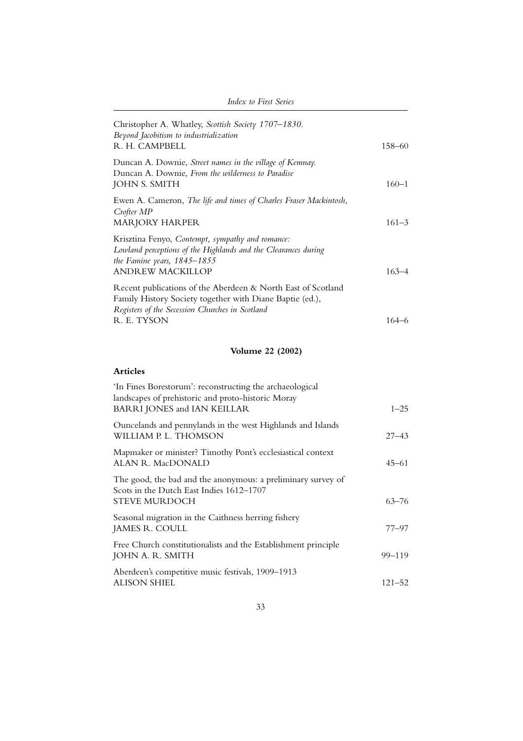| Christopher A. Whatley, Scottish Society 1707-1830.<br>Beyond Jacobitism to industrialization                                                                                              |            |
|--------------------------------------------------------------------------------------------------------------------------------------------------------------------------------------------|------------|
| R. H. CAMPBELL                                                                                                                                                                             | $158 - 60$ |
| Duncan A. Downie, Street names in the village of Kemnay.<br>Duncan A. Downie, From the wilderness to Paradise<br><b>JOHN S. SMITH</b>                                                      | $160 - 1$  |
| Ewen A. Cameron, The life and times of Charles Fraser Mackintosh,<br>Crofter MP<br><b>MARJORY HARPER</b>                                                                                   | $161 - 3$  |
| Krisztina Fenyo, Contempt, sympathy and romance:<br>Lowland perceptions of the Highlands and the Clearances during<br>the Famine years, $1845 - 1855$<br><b>ANDREW MACKILLOP</b>           | $163 - 4$  |
| Recent publications of the Aberdeen & North East of Scotland<br>Family History Society together with Diane Baptie (ed.),<br>Registers of the Secession Churches in Scotland<br>R. E. TYSON | $164 - 6$  |
| <b>Volume 22 (2002)</b>                                                                                                                                                                    |            |
| <b>Articles</b>                                                                                                                                                                            |            |
| 'In Fines Borestorum': reconstructing the archaeological<br>landscapes of prehistoric and proto-historic Moray<br>BARRI JONES and IAN KEILLAR                                              | $1 - 25$   |
| Ouncelands and pennylands in the west Highlands and Islands<br>WILLIAM P. L. THOMSON                                                                                                       | $27 - 43$  |
| Mapmaker or minister? Timothy Pont's ecclesiastical context<br>ALAN R. MacDONALD                                                                                                           | $45 - 61$  |
| The good, the bad and the anonymous: a preliminary survey of<br>$C_{\text{total}}$ is the Devel Fig. L. L. $4749.4707$                                                                     |            |

# Scots in the Dutch East Indies 1612–1707 STEVE MURDOCH 63–76 Seasonal migration in the Caithness herring fishery JAMES R. COULL 77–97 Free Church constitutionalists and the Establishment principle JOHN A. R. SMITH 99–119 Aberdeen's competitive music festivals, 1909–1913 ALISON SHIEL 121–52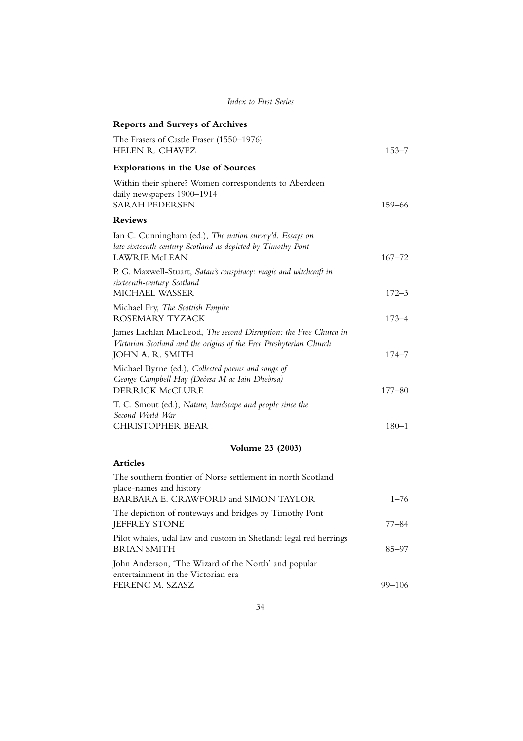| <b>Index to First Series</b>                                                                                                                               |            |  |
|------------------------------------------------------------------------------------------------------------------------------------------------------------|------------|--|
| <b>Reports and Surveys of Archives</b>                                                                                                                     |            |  |
| The Frasers of Castle Fraser (1550–1976)<br><b>HELEN R. CHAVEZ</b>                                                                                         | $153 - 7$  |  |
| <b>Explorations in the Use of Sources</b>                                                                                                                  |            |  |
| Within their sphere? Women correspondents to Aberdeen<br>daily newspapers 1900-1914<br><b>SARAH PEDERSEN</b>                                               | 159–66     |  |
| <b>Reviews</b>                                                                                                                                             |            |  |
| Ian C. Cunningham (ed.), The nation survey'd. Essays on<br>late sixteenth-century Scotland as depicted by Timothy Pont<br><b>LAWRIE McLEAN</b>             | $167 - 72$ |  |
| P. G. Maxwell-Stuart, Satan's conspiracy: magic and witchcraft in<br>sixteenth-century Scotland<br>MICHAEL WASSER                                          | $172 - 3$  |  |
| Michael Fry, The Scottish Empire<br>ROSEMARY TYZACK                                                                                                        | $173 - 4$  |  |
| James Lachlan MacLeod, The second Disruption: the Free Church in<br>Victorian Scotland and the origins of the Free Presbyterian Church<br>JOHN A. R. SMITH | $174 - 7$  |  |
| Michael Byrne (ed.), Collected poems and songs of<br>George Campbell Hay (Deòrsa M ac Iain Dheòrsa)<br><b>DERRICK McCLURE</b>                              | $177 - 80$ |  |
| T. C. Smout (ed.), Nature, landscape and people since the<br>Second World War<br><b>CHRISTOPHER BEAR</b>                                                   | $180 - 1$  |  |
|                                                                                                                                                            |            |  |
| <b>Volume 23 (2003)</b>                                                                                                                                    |            |  |
| <b>Articles</b>                                                                                                                                            |            |  |
| The southern frontier of Norse settlement in north Scotland<br>place-names and history<br>BARBARA E. CRAWFORD and SIMON TAYLOR                             | $1 - 76$   |  |
| The depiction of routeways and bridges by Timothy Pont<br><b>JEFFREY STONE</b>                                                                             | 77–84      |  |
| Pilot whales, udal law and custom in Shetland: legal red herrings<br><b>BRIAN SMITH</b>                                                                    | $85 - 97$  |  |
| John Anderson, 'The Wizard of the North' and popular<br>entertainment in the Victorian era                                                                 |            |  |
| FERENC M. SZASZ                                                                                                                                            | $99 - 106$ |  |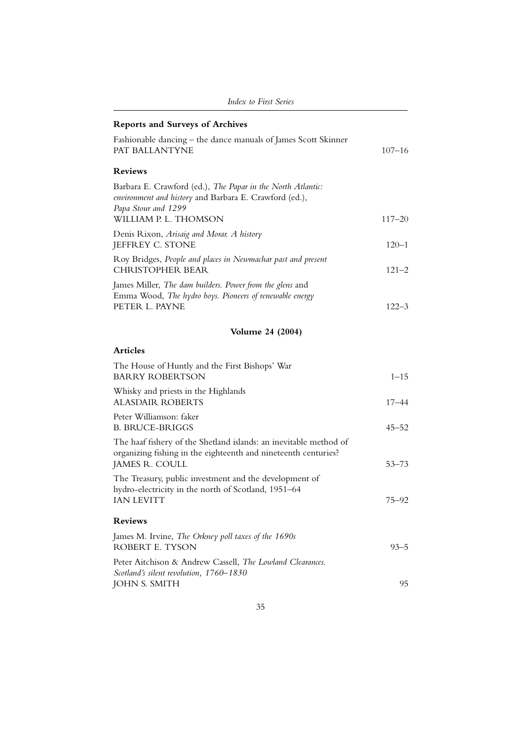| <b>Index to First Series</b>                                                                                                                                          |            |
|-----------------------------------------------------------------------------------------------------------------------------------------------------------------------|------------|
| <b>Reports and Surveys of Archives</b>                                                                                                                                |            |
| Fashionable dancing – the dance manuals of James Scott Skinner<br>PAT BALLANTYNE                                                                                      | $107 - 16$ |
| <b>Reviews</b>                                                                                                                                                        |            |
| Barbara E. Crawford (ed.), The Papar in the North Atlantic:<br>environment and history and Barbara E. Crawford (ed.),<br>Papa Stour and 1299<br>WILLIAM P. L. THOMSON | $117 - 20$ |
| Denis Rixon, Arisaig and Morar. A history<br>JEFFREY C. STONE                                                                                                         | $120 - 1$  |
| Roy Bridges, People and places in Newmachar past and present<br><b>CHRISTOPHER BEAR</b>                                                                               | $121 - 2$  |
| James Miller, The dam builders. Power from the glens and<br>Emma Wood, The hydro boys. Pioneers of renewable energy<br>PETER L. PAYNE                                 | $122 - 3$  |
| <b>Volume 24 (2004)</b>                                                                                                                                               |            |
| <b>Articles</b>                                                                                                                                                       |            |
| The House of Huntly and the First Bishops' War<br><b>BARRY ROBERTSON</b>                                                                                              | $1 - 15$   |
| Whisky and priests in the Highlands<br><b>ALASDAIR ROBERTS</b>                                                                                                        | $17 - 44$  |
| Peter Williamson: faker<br><b>B. BRUCE-BRIGGS</b>                                                                                                                     | $45 - 52$  |
| The haaf fishery of the Shetland islands: an inevitable method of<br>organizing fishing in the eighteenth and nineteenth centuries?<br>JAMES R. COULL                 | $53 - 73$  |
| The Treasury, public investment and the development of<br>hydro-electricity in the north of Scotland, 1951-64<br><b>IAN LEVITT</b>                                    | 75–92      |
| <b>Reviews</b>                                                                                                                                                        |            |
| James M. Irvine, The Orkney poll taxes of the 1690s<br>ROBERT E. TYSON                                                                                                | $93 - 5$   |
| Peter Aitchison & Andrew Cassell, The Lowland Clearances.<br>Scotland's silent revolution, 1760-1830<br><b>JOHN S. SMITH</b>                                          | 95         |
|                                                                                                                                                                       |            |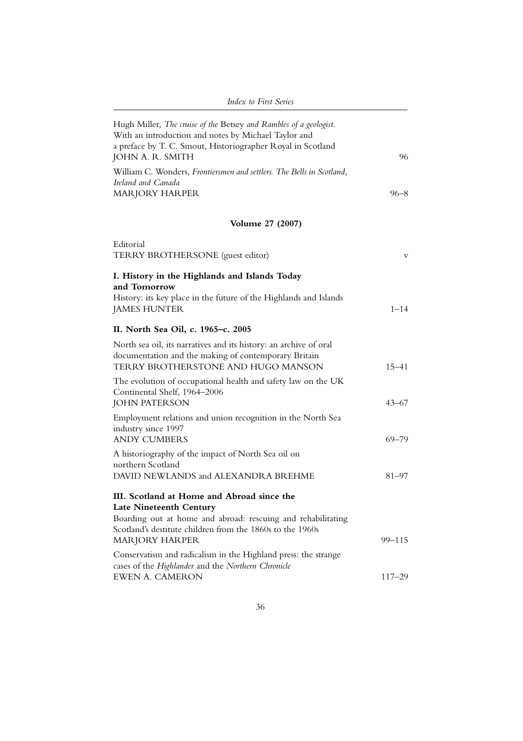| Index to First Series                                                                                                                                                                                                                                                                                       |            |
|-------------------------------------------------------------------------------------------------------------------------------------------------------------------------------------------------------------------------------------------------------------------------------------------------------------|------------|
| Hugh Miller, The cruise of the Betsey and Rambles of a geologist.<br>With an introduction and notes by Michael Taylor and<br>a preface by T. C. Smout, Historiographer Royal in Scotland<br>JOHN A. R. SMITH<br>William C. Wonders, Frontiersmen and settlers. The Bells in Scotland,<br>Ireland and Canada | 96         |
| <b>MARJORY HARPER</b>                                                                                                                                                                                                                                                                                       | $96 - 8$   |
| <b>Volume 27 (2007)</b>                                                                                                                                                                                                                                                                                     |            |
| Editorial<br>TERRY BROTHERSONE (guest editor)                                                                                                                                                                                                                                                               | v          |
| I. History in the Highlands and Islands Today                                                                                                                                                                                                                                                               |            |
| and Tomorrow<br>History: its key place in the future of the Highlands and Islands<br><b>JAMES HUNTER</b>                                                                                                                                                                                                    | $1 - 14$   |
| II. North Sea Oil, c. 1965-c. 2005                                                                                                                                                                                                                                                                          |            |
| North sea oil, its narratives and its history: an archive of oral<br>documentation and the making of contemporary Britain<br>TERRY BROTHERSTONE AND HUGO MANSON                                                                                                                                             | $15 - 41$  |
| The evolution of occupational health and safety law on the UK<br>Continental Shelf, 1964-2006<br><b>JOHN PATERSON</b>                                                                                                                                                                                       | $43 - 67$  |
| Employment relations and union recognition in the North Sea<br>industry since 1997                                                                                                                                                                                                                          |            |
| <b>ANDY CUMBERS</b><br>A historiography of the impact of North Sea oil on                                                                                                                                                                                                                                   | 69–79      |
| northern Scotland<br>DAVID NEWLANDS and ALEXANDRA BREHME                                                                                                                                                                                                                                                    | 81–97      |
| III. Scotland at Home and Abroad since the<br>Late Nineteenth Century<br>Boarding out at home and abroad: rescuing and rehabilitating<br>Scotland's destitute children from the 1860s to the 1960s<br><b>MARJORY HARPER</b>                                                                                 | 99-115     |
| Conservatism and radicalism in the Highland press: the strange<br>cases of the Highlander and the Northern Chronicle<br><b>EWEN A. CAMERON</b>                                                                                                                                                              | $117 - 29$ |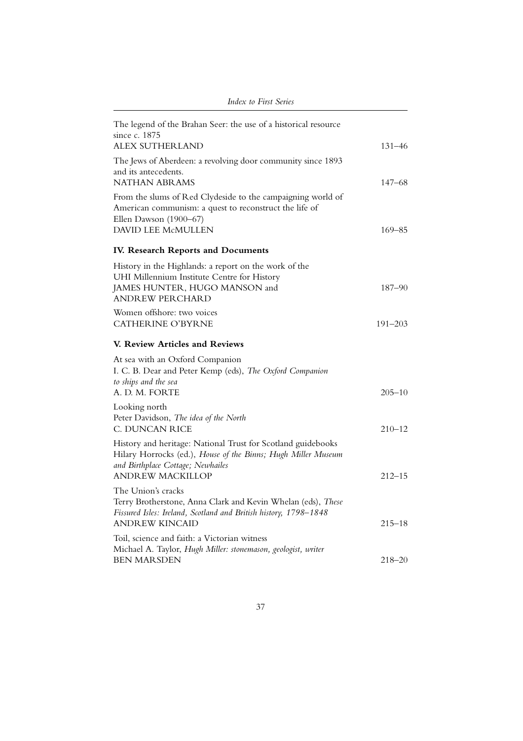| The legend of the Brahan Seer: the use of a historical resource<br>since c. 1875<br><b>ALEX SUTHERLAND</b>                                                                                    | 131–46      |
|-----------------------------------------------------------------------------------------------------------------------------------------------------------------------------------------------|-------------|
| The Jews of Aberdeen: a revolving door community since 1893<br>and its antecedents.<br><b>NATHAN ABRAMS</b>                                                                                   | $147 - 68$  |
| From the slums of Red Clydeside to the campaigning world of<br>American communism: a quest to reconstruct the life of<br>Ellen Dawson (1900-67)<br>DAVID LEE McMULLEN                         | $169 - 85$  |
| IV. Research Reports and Documents                                                                                                                                                            |             |
| History in the Highlands: a report on the work of the<br>UHI Millennium Institute Centre for History<br>JAMES HUNTER, HUGO MANSON and<br><b>ANDREW PERCHARD</b>                               | 187-90      |
| Women offshore: two voices<br><b>CATHERINE O'BYRNE</b>                                                                                                                                        | $191 - 203$ |
| V. Review Articles and Reviews                                                                                                                                                                |             |
| At sea with an Oxford Companion<br>I. C. B. Dear and Peter Kemp (eds), The Oxford Companion<br>to ships and the sea<br>A. D. M. FORTE                                                         | $205 - 10$  |
| Looking north<br>Peter Davidson, The idea of the North<br>C. DUNCAN RICE                                                                                                                      | $210 - 12$  |
| History and heritage: National Trust for Scotland guidebooks<br>Hilary Horrocks (ed.), House of the Binns; Hugh Miller Museum<br>and Birthplace Cottage; Newhailes<br><b>ANDREW MACKILLOP</b> | $212 - 15$  |
| The Union's cracks<br>Terry Brotherstone, Anna Clark and Kevin Whelan (eds), These<br>Fissured Isles: Ireland, Scotland and British history, 1798-1848<br><b>ANDREW KINCAID</b>               | $215 - 18$  |
| Toil, science and faith: a Victorian witness<br>Michael A. Taylor, Hugh Miller: stonemason, geologist, writer<br><b>BEN MARSDEN</b>                                                           | $218 - 20$  |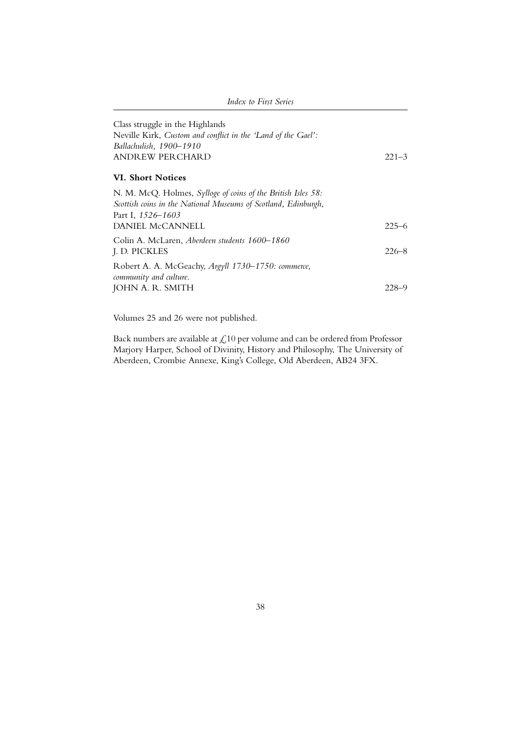| Index to First Series                                                                                                                                                          |           |
|--------------------------------------------------------------------------------------------------------------------------------------------------------------------------------|-----------|
| Class struggle in the Highlands<br>Neville Kirk, Custom and conflict in the 'Land of the Gael':<br>Ballachulish, 1900–1910<br>ANDREW PERCHARD                                  | $221 - 3$ |
| <b>VI. Short Notices</b>                                                                                                                                                       |           |
| N. M. McQ. Holmes, <i>Sylloge of coins of the British Isles</i> 58:<br>Scottish coins in the National Museums of Scotland, Edinburgh,<br>Part I, 1526–1603<br>DANIEL McCANNELL | $225 - 6$ |
| Colin A. McLaren, Aberdeen students 1600–1860<br>J. D. PICKLES                                                                                                                 | $226 - 8$ |
| Robert A. A. McGeachy, Argyll 1730-1750: commerce,<br>community and culture.<br>JOHN A. R. SMITH                                                                               | 228-9     |

Volumes 25 and 26 were not published.

Back numbers are available at  $\mathcal{L}10$  per volume and can be ordered from Professor Marjory Harper, School of Divinity, History and Philosophy, The University of Aberdeen, Crombie Annexe, King's College, Old Aberdeen, AB24 3FX.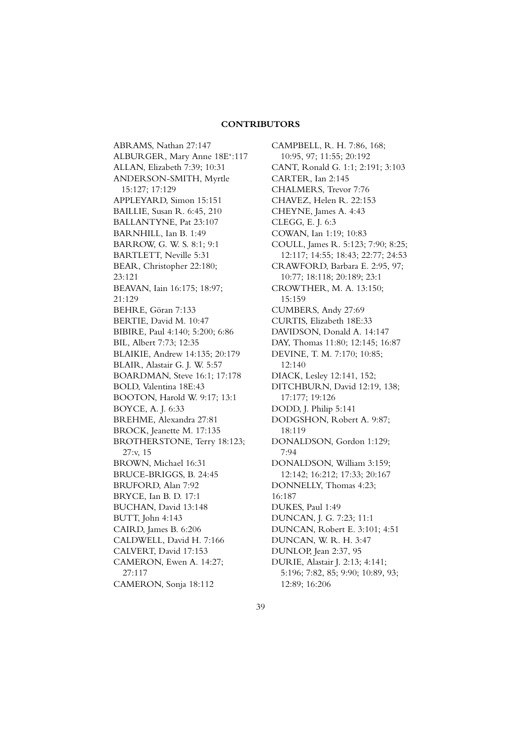#### **CONTRIBUTORS**

ABRAMS, Nathan 27:147 ALBURGER, Mary Anne 18E<sup>∗</sup> :117 ALLAN, Elizabeth 7:39; 10:31 ANDERSON-SMITH, Myrtle 15:127; 17:129 APPLEYARD, Simon 15:151 BAILLIE, Susan R. 6:45, 210 BALLANTYNE, Pat 23:107 BARNHILL, Ian B. 1:49 BARROW, G. W. S. 8:1; 9:1 BARTLETT, Neville 5:31 BEAR, Christopher 22:180; 23:121 BEAVAN, Iain 16:175; 18:97; 21:129 BEHRE, Göran 7:133 BERTIE, David M. 10:47 BIBIRE, Paul 4:140; 5:200; 6:86 BIL, Albert 7:73; 12:35 BLAIKIE, Andrew 14:135; 20:179 BLAIR, Alastair G. J. W. 5:57 BOARDMAN, Steve 16:1; 17:178 BOLD, Valentina 18E:43 BOOTON, Harold W. 9:17; 13:1 BOYCE, A. J. 6:33 BREHME, Alexandra 27:81 BROCK, Jeanette M. 17:135 BROTHERSTONE, Terry 18:123; 27:v, 15 BROWN, Michael 16:31 BRUCE-BRIGGS, B. 24:45 BRUFORD, Alan 7:92 BRYCE, Ian B. D. 17:1 BUCHAN, David 13:148 BUTT, John 4:143 CAIRD, James B. 6:206 CALDWELL, David H. 7:166 CALVERT, David 17:153 CAMERON, Ewen A. 14:27; 27:117 CAMERON, Sonja 18:112

CAMPBELL, R. H. 7:86, 168; 10:95, 97; 11:55; 20:192 CANT, Ronald G. 1:1; 2:191; 3:103 CARTER, Ian 2:145 CHALMERS, Trevor 7:76 CHAVEZ, Helen R. 22:153 CHEYNE, James A. 4:43 CLEGG, E. J. 6:3 COWAN, Ian 1:19; 10:83 COULL, James R. 5:123; 7:90; 8:25; 12:117; 14:55; 18:43; 22:77; 24:53 CRAWFORD, Barbara E. 2:95, 97; 10:77; 18:118; 20:189; 23:1 CROWTHER, M. A. 13:150;  $15:159$ CUMBERS, Andy 27:69 CURTIS, Elizabeth 18E:33 DAVIDSON, Donald A. 14:147 DAY, Thomas 11:80; 12:145; 16:87 DEVINE, T. M. 7:170; 10:85; 12:140 DIACK, Lesley 12:141, 152; DITCHBURN, David 12:19, 138; 17:177; 19:126 DODD, J. Philip 5:141 DODGSHON, Robert A. 9:87; 18:119 DONALDSON, Gordon 1:129; 7:94 DONALDSON, William 3:159; 12:142; 16:212; 17:33; 20:167 DONNELLY, Thomas 4:23; 16:187 DUKES, Paul 1:49 DUNCAN, J. G. 7:23; 11:1 DUNCAN, Robert E. 3:101; 4:51 DUNCAN, W. R. H. 3:47 DUNLOP, Jean 2:37, 95 DURIE, Alastair J. 2:13; 4:141; 5:196; 7:82, 85; 9:90; 10:89, 93; 12:89; 16:206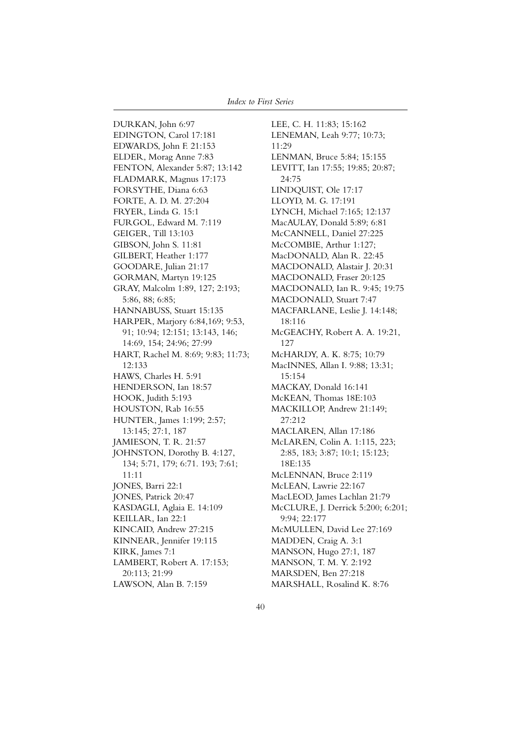DURKAN, John 6:97 EDINGTON, Carol 17:181 EDWARDS, John F. 21:153 ELDER, Morag Anne 7:83 FENTON, Alexander 5:87; 13:142 FLADMARK, Magnus 17:173 FORSYTHE, Diana 6:63 FORTE, A. D. M. 27:204 FRYER, Linda G. 15:1 FURGOL, Edward M. 7:119 GEIGER, Till 13:103 GIBSON, John S. 11:81 GILBERT, Heather 1:177 GOODARE, Julian 21:17 GORMAN, Martyn 19:125 GRAY, Malcolm 1:89, 127; 2:193; 5:86, 88; 6:85; HANNABUSS, Stuart 15:135 HARPER, Marjory 6:84,169; 9:53, 91; 10:94; 12:151; 13:143, 146; 14:69, 154; 24:96; 27:99 HART, Rachel M. 8:69; 9:83; 11:73; 12:133 HAWS, Charles H. 5:91 HENDERSON, Ian 18:57 HOOK, Judith 5:193 HOUSTON, Rab 16:55 HUNTER, James 1:199; 2:57; 13:145; 27:1, 187 JAMIESON, T. R. 21:57 JOHNSTON, Dorothy B. 4:127, 134; 5:71, 179; 6:71. 193; 7:61; 11:11 JONES, Barri 22:1 JONES, Patrick 20:47 KASDAGLI, Aglaia E. 14:109 KEILLAR, Ian 22:1 KINCAID, Andrew 27:215 KINNEAR, Jennifer 19:115 KIRK, James 7:1 LAMBERT, Robert A. 17:153; 20:113; 21:99 LAWSON, Alan B. 7:159

LEE, C. H. 11:83; 15:162 LENEMAN, Leah 9:77; 10:73; 11:29 LENMAN, Bruce 5:84; 15:155 LEVITT, Ian 17:55; 19:85; 20:87; 24:75 LINDQUIST, Ole 17:17 LLOYD, M. G. 17:191 LYNCH, Michael 7:165; 12:137 MacAULAY, Donald 5:89; 6:81 McCANNELL, Daniel 27:225 McCOMBIE, Arthur 1:127; MacDONALD, Alan R. 22:45 MACDONALD, Alastair J. 20:31 MACDONALD, Fraser 20:125 MACDONALD, Ian R. 9:45; 19:75 MACDONALD, Stuart 7:47 MACFARLANE, Leslie J. 14:148; 18:116 McGEACHY, Robert A. A. 19:21, 127 McHARDY, A. K. 8:75; 10:79 MacINNES, Allan I. 9:88; 13:31; 15:154 MACKAY, Donald 16:141 McKEAN, Thomas 18E:103 MACKILLOP, Andrew 21:149; 27:212 MACLAREN, Allan 17:186 McLAREN, Colin A. 1:115, 223; 2:85, 183; 3:87; 10:1; 15:123; 18E:135 McLENNAN, Bruce 2:119 McLEAN, Lawrie 22:167 MacLEOD, James Lachlan 21:79 McCLURE, J. Derrick 5:200; 6:201; 9:94; 22:177 McMULLEN, David Lee 27:169 MADDEN, Craig A. 3:1 MANSON, Hugo 27:1, 187 MANSON, T. M. Y. 2:192 MARSDEN, Ben 27:218 MARSHALL, Rosalind K. 8:76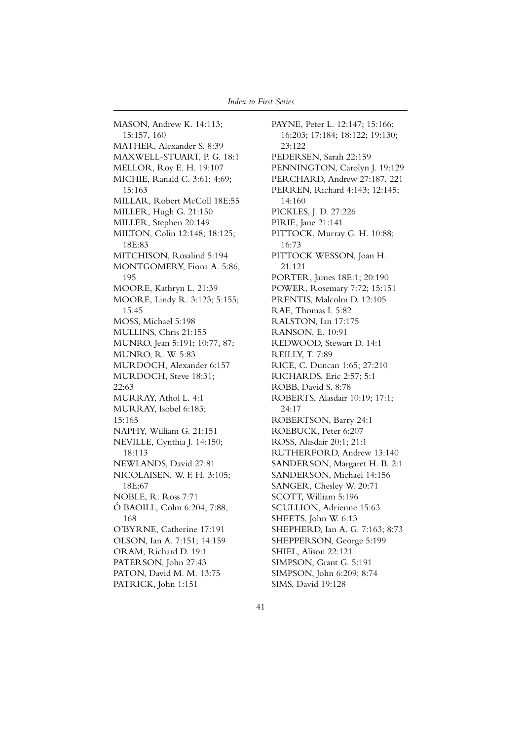MASON, Andrew K. 14:113; 15:157, 160 MATHER, Alexander S. 8:39 MAXWELL-STUART, P. G. 18:1 MELLOR, Roy E. H. 19:107 MICHIE, Ranald C. 3:61; 4:69; 15:163 MILLAR, Robert McColl 18E:55 MILLER, Hugh G. 21:150 MILLER, Stephen 20:149 MILTON, Colin 12:148; 18:125; 18E:83 MITCHISON, Rosalind 5:194 MONTGOMERY, Fiona A. 5:86, 195 MOORE, Kathryn L. 21:39 MOORE, Lindy R. 3:123; 5:155; 15:45 MOSS, Michael 5:198 MULLINS, Chris 21:155 MUNRO, Jean 5:191; 10:77, 87; MUNRO, R. W. 5:83 MURDOCH, Alexander 6:157 MURDOCH, Steve 18:31; 22:63 MURRAY, Athol L. 4:1 MURRAY, Isobel 6:183; 15:165 NAPHY, William G. 21:151 NEVILLE, Cynthia J. 14:150; 18:113 NEWLANDS, David 27:81 NICOLAISEN, W. F. H. 3:105; 18E:67 NOBLE, R. Ross 7:71 Ó BAOILL, Colm 6:204; 7:88, 168 O'BYRNE, Catherine 17:191 OLSON, Ian A. 7:151; 14:159 ORAM, Richard D. 19:1 PATERSON, John 27:43 PATON, David M. M. 13:75 PATRICK, John 1:151

PAYNE, Peter L. 12:147; 15:166; 16:203; 17:184; 18:122; 19:130; 23:122 PEDERSEN, Sarah 22:159 PENNINGTON, Carolyn J. 19:129 PERCHARD, Andrew 27:187, 221 PERREN, Richard 4:143; 12:145; 14:160 PICKLES, J. D. 27:226 PIRIE, Jane 21:141 PITTOCK, Murray G. H. 10:88; 16:73 PITTOCK WESSON, Joan H. 21:121 PORTER, James 18E:1; 20:190 POWER, Rosemary 7:72; 15:151 PRENTIS, Malcolm D. 12:105 RAE, Thomas I. 5:82 RALSTON, Ian 17:175 RANSON, E. 10:91 REDWOOD, Stewart D. 14:1 REILLY, T. 7:89 RICE, C. Duncan 1:65; 27:210 RICHARDS, Eric 2:57; 5:1 ROBB, David S. 8:78 ROBERTS, Alasdair 10:19; 17:1; 24:17 ROBERTSON, Barry 24:1 ROEBUCK, Peter 6:207 ROSS, Alasdair 20:1; 21:1 RUTHERFORD, Andrew 13:140 SANDERSON, Margaret H. B. 2:1 SANDERSON, Michael 14:156 SANGER, Chesley W. 20:71 SCOTT, William 5:196 SCULLION, Adrienne 15:63 SHEETS, John W. 6:13 SHEPHERD, Ian A. G. 7:163; 8:73 SHEPPERSON, George 5:199 SHIEL, Alison 22:121 SIMPSON, Grant G. 5:191 SIMPSON, John 6:209; 8:74 SIMS, David 19:128